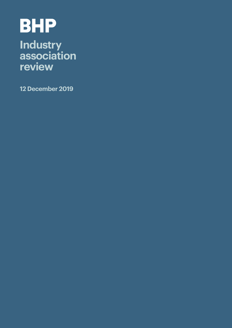# **BHP**

# **Industry association review**

**12 December 2019**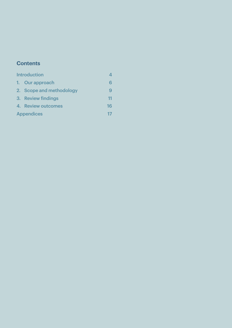### **Contents**

| <b>Introduction</b> |                          |    |
|---------------------|--------------------------|----|
|                     | 1. Our approach          | 6  |
|                     | 2. Scope and methodology | 9  |
|                     | 3. Review findings       | 11 |
|                     | 4. Review outcomes       | 16 |
|                     | <b>Appendices</b>        |    |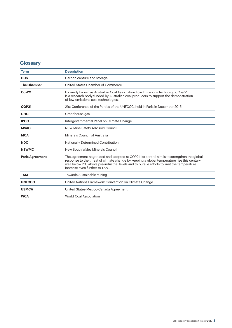### **Glossary**

| <b>Term</b>            | <b>Description</b>                                                                                                                                                                                                                                                                                                       |
|------------------------|--------------------------------------------------------------------------------------------------------------------------------------------------------------------------------------------------------------------------------------------------------------------------------------------------------------------------|
| <b>CCS</b>             | Carbon capture and storage                                                                                                                                                                                                                                                                                               |
| <b>The Chamber</b>     | United States Chamber of Commerce                                                                                                                                                                                                                                                                                        |
| Coal <sub>21</sub>     | Formerly known as Australian Coal Association Low Emissions Technology, Coal21<br>is a research body funded by Australian coal producers to support the demonstration<br>of low-emissions coal technologies.                                                                                                             |
| <b>COP21</b>           | 21st Conference of the Parties of the UNFCCC, held in Paris in December 2015.                                                                                                                                                                                                                                            |
| <b>GHG</b>             | Greenhouse gas                                                                                                                                                                                                                                                                                                           |
| <b>IPCC</b>            | Intergovernmental Panel on Climate Change                                                                                                                                                                                                                                                                                |
| <b>MSAC</b>            | NSW Mine Safety Advisory Council                                                                                                                                                                                                                                                                                         |
| <b>MCA</b>             | Minerals Council of Australia                                                                                                                                                                                                                                                                                            |
| <b>NDC</b>             | Nationally Determined Contribution                                                                                                                                                                                                                                                                                       |
| <b>NSWMC</b>           | New South Wales Minerals Council                                                                                                                                                                                                                                                                                         |
| <b>Paris Agreement</b> | The agreement negotiated and adopted at COP21. Its central aim is to strengthen the global<br>response to the threat of climate change by keeping a global temperature rise this century<br>well below 2°C above pre-industrial levels and to pursue efforts to limit the temperature<br>increase even further to 1.5°C. |
| <b>TSM</b>             | Towards Sustainable Mining                                                                                                                                                                                                                                                                                               |
| <b>UNFCCC</b>          | United Nations Framework Convention on Climate Change                                                                                                                                                                                                                                                                    |
| <b>USMCA</b>           | United States-Mexico-Canada Agreement                                                                                                                                                                                                                                                                                    |
| <b>WCA</b>             | <b>World Coal Association</b>                                                                                                                                                                                                                                                                                            |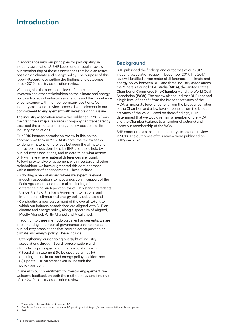# **Introduction**

In accordance with our principles for participating in industry associations<sup>1</sup>, BHP keeps under regular review our membership of those associations that hold an active position on climate and energy policy. The purpose of this report (**Report**) is to outline the findings and outcomes of our 2019 industry association review.

We recognise the substantial level of interest among investors and other stakeholders on the climate and energy policy advocacy of industry associations and the importance of consistency with member company positions. Our industry association review process is one element in our commitment to engagement with investors on this issue.

The industry association review we published in 20172 was the first time a major resources company had transparently assessed the climate and energy policy positions of its industry associations.

Our 2019 industry association review builds on the approach we took in 2017. At its core, the review seeks to identify material differences between the climate and energy policy positions held by BHP and those held by our industry associations, and to determine what actions BHP will take where material differences are found. Following extensive engagement with investors and other stakeholders, we have augmented this core approach with a number of enhancements. These include:

- Adopting a new standard where we expect relevant industry associations to have a position in support of the Paris Agreement, and thus make a finding of material difference if no such position exists. This standard reflects the centrality of the Paris Agreement to national and international climate and energy policy debates; and
- Conducting a new assessment of the overall extent to which our industry associations are aligned with BHP on climate and energy policy, along a spectrum of Aligned, Mostly Aligned, Partly Aligned and Misaligned.

In addition to these methodological enhancements, we are implementing a number of governance enhancements for our industry associations that have an active position on climate and energy policy. These include:

- Strengthening our ongoing oversight of industry associations through Board representation; and
- Introducing an expectation that associations will: (1) publish a statement (to be updated annually) outlining their climate and energy policy position; and (2) update BHP on steps taken in line with the policy position.

In line with our commitment to investor engagement, we welcome feedback on both the methodology and findings of our 2019 industry association review.

### **Background**

BHP published the findings and outcomes of our 2017 industry association review in December 2017. The 2017 review identified seven material differences on climate and energy policy between BHP and three industry associations: the Minerals Council of Australia (**MCA**); the United States Chamber of Commerce (**the Chamber**); and the World Coal Association (**WCA**). The review also found that BHP received a high level of benefit from the broader activities of the MCA, a moderate level of benefit from the broader activities of the Chamber, and a low level of benefit from the broader activities of the WCA. Based on these findings, BHP determined that we would remain a member of the MCA and the Chamber (subject to a number of actions) and cease our membership of the WCA.

BHP conducted a subsequent industry association review in 2018. The outcomes of this review were published on BHP's website<sup>3</sup>.

**Ibid** 

These principles are detailed in section 1.3.

<sup>2</sup> See: https://www.bhp.com/our-approach/operating-with-integrity/industry-associations-bhps-approach.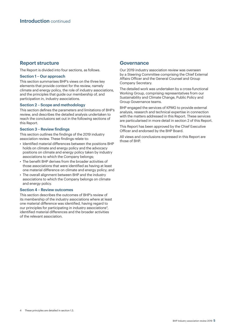#### **Report structure**

The Report is divided into four sections, as follows.

#### **Section 1 – Our approach**

This section summarises BHP's views on the three key elements that provide context for the review, namely climate and energy policy, the role of industry associations, and the principles that guide our membership of, and participation in, industry associations.

#### **Section 2 – Scope and methodology**

This section defines the parameters and limitations of BHP's review, and describes the detailed analysis undertaken to reach the conclusions set out in the following sections of this Report.

#### **Section 3 – Review findings**

This section outlines the findings of the 2019 industry association review. These findings relate to:

- Identified material differences between the positions BHP holds on climate and energy policy and the advocacy positions on climate and energy policy taken by industry associations to which the Company belongs;
- The benefit BHP derives from the broader activities of those associations that were identified as having at least one material difference on climate and energy policy; and
- The overall alignment between BHP and the industry associations to which the Company belongs on climate and energy policy.

#### **Section 4 – Review outcomes**

This section describes the outcomes of BHP's review of its membership of the industry associations where at least one material difference was identified, having regard to our principles for participating in industry associations<sup>4</sup>, identified material differences and the broader activities of the relevant association.

#### **Governance**

Our 2019 industry association review was overseen by a Steering Committee comprising the Chief External Affairs Officer and the General Counsel and Group Company Secretary.

The detailed work was undertaken by a cross-functional Working Group, comprising representatives from our Sustainability and Climate Change, Public Policy and Group Governance teams.

BHP engaged the services of KPMG to provide external analysis, research and technical expertise in connection with the matters addressed in this Report. These services are particularised in more detail in section 2 of this Report.

This Report has been approved by the Chief Executive Officer and endorsed by the BHP Board.

All views and conclusions expressed in this Report are those of BHP.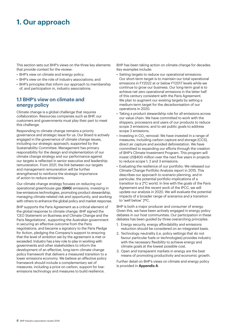# **1. Our approach**

This section sets out BHP's views on the three key elements that provide context for the review:

- BHP's view on climate and energy policy;
- BHP's view on the role of industry associations; and
- BHP's principles that inform our approach to membership of, and participation in, industry associations.

#### **1.1 BHP's view on climate and energy policy**

Climate change is a global challenge that requires collaboration. Resources companies such as BHP, our customers and governments must play their part to meet this challenge.

Responding to climate change remains a priority governance and strategic issue for us. Our Board is actively engaged in the governance of climate change issues, including our strategic approach, supported by the Sustainability Committee. Management has primary responsibility for the design and implementation of our climate change strategy and our performance against our targets is reflected in senior executive and leadership remuneration. From 2021, the link between our targets and management remuneration will be further strengthened to reinforce the strategic importance of action to reduce emissions.

Our climate change strategy focuses on reducing our operational greenhouse gas (**GHG**) emissions, investing in low-emissions technologies, promoting product stewardship, managing climate-related risk and opportunity, and working with others to enhance the global policy and market response.

BHP supports the Paris Agreement as a critical element of the global response to climate change. BHP signed the 'CEO Statement on Business and Climate Change and the Paris Negotiations', supporting the Australian government in securing an effective outcome from the Paris negotiations, and became a signatory to the Paris Pledge for Action, pledging the Company's support to ensuring that the level of ambition set by the agreement is met or exceeded. Industry has a key role to play in working with governments and other stakeholders to inform the development of an effective, long-term climate change policy framework that delivers a measured transition to a lower emissions economy. We believe an effective policy framework should include a complementary set of measures, including a price on carbon, support for lowemissions technology and measures to build resilience.

BHP has been taking action on climate change for decades. Key examples include:

- Setting targets to reduce our operational emissions: Our short-term target is to maintain our total operational emissions in FY2022 at or below FY2017 levels while we continue to grow our business. Our long-term goal is to achieve net zero operational emissions in the latter half of this century consistent with the Paris Agreement. We plan to augment our existing targets by setting a medium-term target for the decarbonisation of our operations in 2020.
- Taking a product stewardship role for all emissions across our value chain: We have committed to work with the shippers, processors and users of our products to reduce scope 3 emissions, and to set public goals to address scope 3 emissions.
- $\bullet\,$  Investing in CO $_2$  removal: We have invested in a range of measures, including carbon capture and storage (CCS), direct air capture and avoided deforestation. We have committed to expanding our efforts through the creation of BHP's Climate Investment Program. This program will invest US\$400 million over the next five years in projects to reduce scope 1, 2 and 3 emissions.
- Evaluating the resilience of our portfolio: We released our Climate Change Portfolio Analysis report in 2015. This describes our approach to scenario planning, and in particular, the potential portfolio implications of a transition to a 2°C world. In line with the goals of the Paris Agreement and the recent work of the IPCC, we will update our analysis in 2020. We will evaluate the potential impacts of a broader range of scenarios and a transition to 'well below' 2ºC.

BHP is both a major producer and consumer of energy. Given this, we have been actively engaged in energy policy debates in our host communities. Our participation in these debates has been guided by three overarching principles:

- 1. Energy security, energy affordability and emissions reduction should be considered on an integrated basis.
- 2. Technology neutrality (i.e. policy settings that do not favour particular fuels or technologies) provides industry with the necessary flexibility to achieve energy and climate goals at the lowest possible cost.
- 3. Open and transparent markets in energy are the best means of promoting productivity and economic growth.

Further detail on BHP's views on climate and energy policy is provided in **Appendix A**.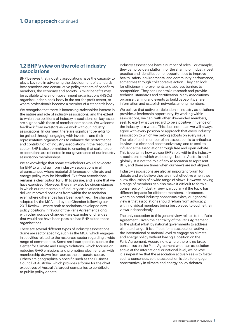#### **1.2 BHP's view on the role of industry associations**

BHP believes that industry associations have the capacity to play a key role in advancing the development of standards, best practices and constructive policy that are of benefit to members, the economy and society. Similar benefits may be available where non-government organisations (NGOs) organise under a peak body in the not-for-profit sector, or where professionals become a member of a standards body.

We recognise that there is increasing stakeholder interest in the nature and role of industry associations, and the extent to which the positions of industry associations on key issues are aligned with those of member companies. We welcome feedback from investors as we work with our industry associations. In our view, there are significant benefits to be gained through engaging with investors and their representative organisations to enhance the performance and contribution of industry associations in the resources sector. BHP is also committed to ensuring that stakeholder expectations are reflected in our governance of our industry association memberships.

We acknowledge that some stakeholders would advocate for BHP to withdraw from industry associations in all circumstances where material differences on climate and energy policy may be identified. Exit from associations remains a clear option for BHP to pursue, and is one that we have exercised. However, there may also be circumstances in which our membership of industry associations can deliver improved positions from within the association even where differences have been identified. The changes adopted by the MCA and by the Chamber following our 2017 Review – where both associations developed new policy positions in favour of the Paris Agreement along with other positive changes – are examples of changes that would not have been possible had BHP exited these organisations.

There are several different types of industry associations. Some are sector specific, such as the MCA, which engages in activities related to the resources sector regarding a wide range of commodities. Some are issue specific, such as the Center for Climate and Energy Solutions, which focuses on reducing GHG emissions and promoting clean energy, with membership drawn from across the corporate sector. Others are geographically specific such as the Business Council of Australia, which provides a forum for the chief executives of Australia's largest companies to contribute to public policy debate.

Industry associations have a number of roles. For example, they can provide a platform for the sharing of industry best practice and identification of opportunities to improve health, safety, environmental and community performance, sometimes through collaborative action. They can look for efficiency improvements and address barriers to competition. They can undertake research and provide technical standards and certification. Many associations organise training and events to build capability, share information and establish networks among members.

We believe that active participation in industry associations provides a leadership opportunity. By working within associations, we can, with other like-minded members, seek to exert what we regard to be a positive influence on the industry as a whole. This does not mean we will always agree with every position or approach that every industry association to which we belong adopts on every issue. The role of each member of an association is to articulate its view in a clear and constructive way, and to seek to influence the association through free and open debate. This is certainly how we see BHP's role within the industry associations to which we belong – both in Australia and globally. It is not the role of any association to represent BHP, and there are times when our views are not aligned.

Industry associations are also an important forum for debate and we believe they are most effective when they allow discussion of a wide range of views. However, having a range of members can also make it difficult to form a consensus or 'industry' view, particularly if the topic has different impacts for different members. In instances where no broad industry consensus exists, our general view is that associations should refrain from advocacy, with individual members being best placed to outline their views independently.

The only exception to this general view relates to the Paris Agreement. Given the centrality of the Paris Agreement to the global effort by national governments to address climate change, it is difficult for an association active at the international or national level to engage on climate and energy policy without having a position on the Paris Agreement. Accordingly, where there is no broad consensus on the Paris Agreement within an association active at the international or national level, we believe it is imperative that the association actively seeks to foster such a consensus, so the association is able to engage constructively in climate and energy policy debates.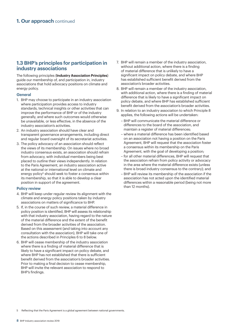#### **1.3 BHP's principles for participation in industry associations**

The following principles (**Industry Association Principles**) guide our membership of, and participation in, industry associations that hold advocacy positions on climate and energy policy.

#### **General**

- 1. BHP may choose to participate in an industry association where participation provides access to industry standards, technical insights or other activities that can improve the performance of BHP or of the industry generally, and where such outcomes would otherwise be unavailable, or less effective, in the absence of the industry association's activities.
- 2. An industry association should have clear and transparent governance arrangements, including direct and regular board oversight of its secretariat activities.
- 3. The policy advocacy of an association should reflect the views of its membership. On issues where no broad industry consensus exists, an association should refrain from advocacy, with individual members being best placed to outline their views independently. In relation to the Paris Agreement, an industry association active at the national or international level on climate and energy policy<sup>5</sup> should seek to foster a consensus within its membership, so that it is able to develop a clear position in support of the agreement.

#### **Policy review**

- 4. BHP will keep under regular review its alignment with the climate and energy policy positions taken by industry associations on matters of significance to BHP.
- 5. If, in the course of such review, a material difference in policy position is identified, BHP will assess its relationship with that industry association, having regard to the nature of the material difference and the extent of the benefit derived from the broader activities of the association. Based on this assessment (and taking into account any consultation with the association), BHP will take one of the actions described in Principles 6 to 8 below.
- 6. BHP will cease membership of the industry association where there is a finding of material difference that is likely to have a significant impact on policy debate, and where BHP has not established that there is sufficient benefit derived from the association's broader activities. Prior to making a final decision to cease membership, BHP will invite the relevant association to respond to BHP's findings.
- 7. BHP will remain a member of the industry association, without additional action, where there is a finding of material difference that is unlikely to have a significant impact on policy debate, and where BHP has established sufficient benefit derived from the association's broader activities.
- 8. BHP will remain a member of the industry association, with additional action, where there is a finding of material difference that is likely to have a significant impact on policy debate, and where BHP has established sufficient benefit derived from the association's broader activities.
- 9. In relation to an industry association to which Principle 8 applies, the following actions will be undertaken:
	- BHP will communicate the material difference or differences to the board of the association, and maintain a register of material differences;
	- where a material difference has been identified based on an association not having a position on the Paris Agreement, BHP will request that the association foster a consensus within its membership on the Paris Agreement, with the goal of developing a position;
	- for all other material differences, BHP will request that the association refrain from policy activity or advocacy in the area where the material difference exists (unless there is broad industry consensus to the contrary); and
	- BHP will review its membership of the association if the association has not acted upon the identified material differences within a reasonable period (being not more than 12 months).

5 Reflecting that the Paris Agreement is a global agreement between national governments.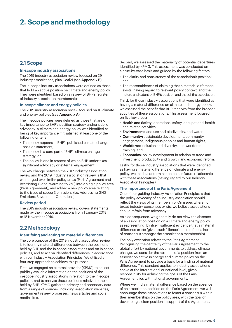# **2. Scope and methodology**

#### **2.1 Scope**

#### **In-scope industry associations**

The 2019 industry association review focused on 29 industry associations, plus Coal21 (see **Appendix B**).

The in-scope industry associations were defined as those that hold an active position on climate and energy policy. They were identified based on a review of BHP's register of industry association memberships.

#### **In-scope climate and energy policies**

The 2019 industry association review focused on 10 climate and energy policies (see **Appendix A**).

The in-scope policies were defined as those that are of key importance to BHP's position strategy and/or public advocacy. A climate and energy policy was identified as being of key importance if it satisfied at least one of the following criteria:

- The policy appears in BHP's published climate change position statement;
- The policy is a core part of BHP's climate change strategy; or
- The policy is one in respect of which BHP undertakes significant advocacy or external engagement.

The key change between the 2017 industry association review and the 2019 industry association review is that we merged two similar policy areas (Paris Agreement and Restricting Global Warming to 2°C) into a single policy area (Paris Agreement), and added a new policy area relating to the issue of scope 3 emissions (i.e. Addressing GHG Emissions Beyond our Operations).

#### **Review period**

The 2019 industry association review covers statements made by the in-scope associations from 1 January 2018 to 15 November 2019.

#### **2.2 Methodology**

#### **Identifying and acting on material differences**

The core purpose of the 2019 industry association review is to identify material differences between the positions held by BHP and the in-scope associations and on in-scope policies, and to act on identified differences in accordance with our Industry Association Principles. We utilised a four-step approach to achieve this purpose.

First, we engaged an external provider (KPMG) to collect publicly available information on the positions of the in-scope industry associations in relation to the in-scope policies, and to analyse those positions relative to those held by BHP. KPMG gathered primary and secondary data from a range of sources, including association websites, government review processes, news articles and social media sites.

Second, we assessed the materiality of potential departures identified by KPMG. This assessment was conducted on a case-by-case basis and guided by the following factors:

- The clarity and consistency of the association's position; and
- The reasonableness of claiming that a material difference exists, having regard to relevant policy context, and the nature and extent of BHP's position and that of the association.

Third, for those industry associations that were identified as having a material difference on climate and energy policy, we assessed the benefit that BHP receives from the broader activities of these associations. This assessment focused on five key areas:

- **Health and Safety:** operational safety, occupational health and related activities;
- **Environment:** land use and biodiversity, and water;
- **Community:** sustainable development, community engagement, Indigenous peoples and human rights;
- **Workforce:** inclusion and diversity, and workforce training; and
- **Economics:** policy development in relation to trade and investment, productivity and growth, and economic reform.

Lastly, for those industry associations that were identified as having a material difference on climate and energy policy, we made a determination on our future relationship with these associations (having regard to our Industry Association Principles).

#### **The importance of the Paris Agreement**

One of our guiding Industry Association Principles is that the policy advocacy of an industry association should reflect the views of its membership. On issues where no broad industry consensus exists, we believe associations should refrain from advocacy.

As a consequence, we generally do not view the absence of an association position on a climate and energy policy as representing, by itself, sufficient evidence that a material difference exists (given such 'silence' could reflect a lack of consensus amongst the association's membership).

The only exception relates to the Paris Agreement. Recognising the centrality of the Paris Agreement to the global effort by national governments to address climate change, we consider the absence of a position from an association active in energy and climate policy on the Paris Agreement to provide a basis for a finding of material difference. This standard applies to industry associations active at the international or national level, given responsibility for achieving the goals of the Paris Agreement lies with national governments.

Where we find a material difference based on the absence of an association position on the Paris Agreement, we will encourage these associations to foster a consensus within their memberships on the policy area, with the goal of developing a clear position in support of the Agreement.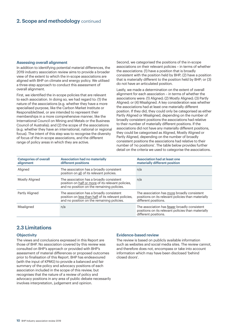#### **Assessing overall alignment**

In addition to identifying potential material differences, the 2019 industry association review aims to provide a broader view of the extent to which the in-scope associations are aligned with BHP on climate and energy policy. We utilised a three-step approach to conduct this assessment of overall alignment.

First, we identified the in-scope policies that are relevant to each association. In doing so, we had regard to: (1) the nature of the associations (e.g. whether they have a more specialised purpose, like the Carbon Market Institute or ResponsibleSteel, or are intended to represent their memberships in a more comprehensive manner, like the International Council on Mining and Metals or the Business Council of Australia); and (2) the scope of the associations (e.g. whether they have an international, national or regional focus). The intent of this step was to recognise the diversity of focus of the in-scope associations, and the different range of policy areas in which they are active.

Second, we categorised the positions of the in-scope associations on their relevant policies – in terms of whether the associations: (1) have a position that is broadly consistent with the position held by BHP; (2) have a position that is materially different to the position held by BHP; or (3) do not have an articulated position.

Lastly, we made a determination on the extent of overall alignment for each association – in terms of whether the associations were: (1) Aligned; (2) Mostly Aligned; (3) Partly Aligned; or (4) Misaligned. A key consideration was whether the associations had at least one materially different position. If they did, they could only be categorised as either Partly Aligned or Misaligned, depending on the number of broadly consistent positions the associations had relative to their number of materially different positions. If the associations did not have any materially different positions, they could be categorised as Aligned, Mostly Aligned or Partly Aligned, depending on the number of broadly consistent positions the associations had relative to their number of 'no positions'. The table below provides further detail on the criteria we used to categorise the associations.

| <b>Categories of overall</b><br>alignment | <b>Association had no materially</b><br>different positions                                                                                    | <b>Association had at least one</b><br>materially different position                                                       |
|-------------------------------------------|------------------------------------------------------------------------------------------------------------------------------------------------|----------------------------------------------------------------------------------------------------------------------------|
| Aligned                                   | The association has a broadly consistent<br>position on all of its relevant policies.                                                          | n/a                                                                                                                        |
| <b>Mostly Aligned</b>                     | The association has a broadly consistent<br>position on half or more of its relevant policies,<br>and no position on the remaining policies.   | n/a                                                                                                                        |
| Partly Aligned                            | The association has a broadly consistent<br>position on less than half of its relevant policies,<br>and no position on the remaining policies. | The association has more broadly consistent<br>positions on its relevant policies than materially<br>different positions.  |
| Misaligned                                | n/a                                                                                                                                            | The association has fewer broadly consistent<br>positions on its relevant policies than materially<br>different positions. |

#### **2.3 Limitations**

#### **Objectivity**

The views and conclusions expressed in this Report are those of BHP. No association covered by this review was consulted on BHP's approach or provided with BHP's assessment of material differences or proposed outcomes prior to finalisation of this Report. BHP has endeavoured (with the input of KPMG) to provide a balanced and fair summary of the policy and advocacy positions of each association included in the scope of this review, but recognises that the nature of a review of policy and advocacy positions in any area of public debate necessarily involves interpretation, judgement and opinion.

#### **Evidence-based review**

The review is based on publicly available information such as websites and social media sites. The review cannot, and therefore does not, encompass or take into account information which may have been disclosed 'behind closed doors'.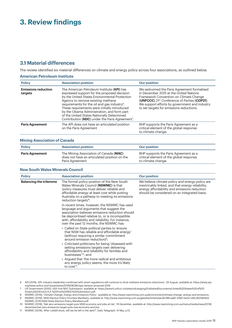# **3. Review findings**

#### **3.1 Material differences**

The review identified six material differences on climate and energy policy across four associations, as outlined below.

#### **American Petroleum Institute**

| <b>Policy</b>                         | <b>Association position</b>                                                                                                                                                                                                                                                                                                                                                                                                                            | <b>Our position</b>                                                                                                                                                                                                                                                                                    |
|---------------------------------------|--------------------------------------------------------------------------------------------------------------------------------------------------------------------------------------------------------------------------------------------------------------------------------------------------------------------------------------------------------------------------------------------------------------------------------------------------------|--------------------------------------------------------------------------------------------------------------------------------------------------------------------------------------------------------------------------------------------------------------------------------------------------------|
| <b>Emissions reduction</b><br>targets | The American Petroleum Institute (API) has<br>expressed support for the proposed decision<br>by the United States Environmental Protection<br>Agency to remove existing methane<br>requirements for the oil and gas industry <sup>6</sup> .<br>These requirements were initially introduced<br>by the Obama Administration, and form part<br>of the United States Nationally Determined<br>Contribution (NDC) under the Paris Agreement <sup>7</sup> . | We welcomed the Paris Agreement formalised<br>in December 2015 at the United Nations<br>Framework Convention on Climate Change<br><b>(UNFCCC)</b> 21 <sup>st</sup> Conference of Parties <b>(COP21)</b> .<br>We support efforts by government and industry<br>to set targets for emissions reductions. |
| <b>Paris Agreement</b>                | The API does not have an articulated position<br>on the Paris Agreement                                                                                                                                                                                                                                                                                                                                                                                | BHP supports the Paris Agreement as a<br>critical element of the global response<br>to climate change.                                                                                                                                                                                                 |

#### **Mining Association of Canada**

| <b>Policy</b>          | <b>Association position</b>                                                                               | <b>Our position</b>                                                                                    |
|------------------------|-----------------------------------------------------------------------------------------------------------|--------------------------------------------------------------------------------------------------------|
| <b>Paris Agreement</b> | The Mining Association of Canada (MAC)<br>does not have an articulated position on the<br>Paris Agreement | BHP supports the Paris Agreement as a<br>critical element of the global response<br>to climate change. |

#### **New South Wales Minerals Council**

| <b>Policy</b>                 | <b>Association position</b>                                                                                                                                                                                                                                                                                                                                                                                                                                                                                         | <b>Our position</b>                                                                                                                                                                                  |
|-------------------------------|---------------------------------------------------------------------------------------------------------------------------------------------------------------------------------------------------------------------------------------------------------------------------------------------------------------------------------------------------------------------------------------------------------------------------------------------------------------------------------------------------------------------|------------------------------------------------------------------------------------------------------------------------------------------------------------------------------------------------------|
| <b>Balancing the trilemma</b> | The formal policy position of the New South<br>Wales Minerals Council (NSWMC) is that<br>'policy measures must deliver reliable and<br>affordable energy at least cost while putting<br>Australia on a pathway to meeting its emissions<br>reduction targets <sup>'8</sup> .                                                                                                                                                                                                                                        | We believe climate policy and energy policy are<br>inextricably linked, and that energy reliability,<br>energy affordability and emissions reduction<br>should be considered on an integrated basis. |
|                               | In recent times, however, the NSWMC has used<br>language and arguments that suggest the<br>association believes emissions reduction should<br>be deprioritised relative to, or is incompatible<br>with, affordability and reliability. For instance,<br>over the past 12 months, the NSWMC has:                                                                                                                                                                                                                     |                                                                                                                                                                                                      |
|                               | • Called on State political parties to 'ensure<br>that NSW has reliable and affordable energy'<br>(without requiring a similar commitment<br>around emission reduction) <sup>9</sup> ;<br>• Criticised politicians for being 'obsessed with<br>setting emissions targets over delivering<br>affordability and reliability for families and<br>businesses <sup>'10</sup> ; and<br>• Argued that 'the more radical and ambitious<br>any energy policy seems, the more it's likely<br>to $cost^{\prime\prime\prime}$ . |                                                                                                                                                                                                      |

6 API (2019), 'API: Industry leadership combined with smart regulations will continue to drive methane emissions reductions', 29 August, available at: https://www.api. org/news-policy-and-issues/news/2019/08/28/nsps-revision-proposal-2019.

7 US Government (2015), USA First NDC Submission, available at: https://www4.unfccc.int/sites/ndcstaging/PublishedDocuments/United%20States%20of%20 America%20First/U.S.A.%20First%20NDC%20Submission.pdf.

8 NSWMC (2019), 'Climate Change, Energy and Emissions Policy', available at: http://www.nswmining.com.au/environment/climate-change,-energy-and-emissions.

9 NSWMC (2019), NSW Election Policy Priorities Manifesto, available at: http://www.nswmining.com.au/getattachment/aac9c188-ea82-4390-be0a-1d9c3b0584b0/ NSWMC-2019-NSW-State-Election-Policy-Manifesto.pdf.

10 NSWMC (2018), 'Net zero emissions target puts NSW economy and jobs at risk', 19 December, available at: http://www.nswmining.com.au/menu/media/news/2018/ december/net-zero-emissions-target-puts-nsw-economy-and-job.

11 NSWMC (2019), 'After Liddell shuts, will we be left in the dark?', Daily Telegraph, 14 May, p.13.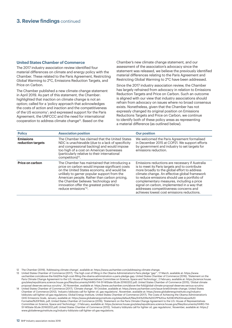#### **United States Chamber of Commerce**

The 2017 industry association review identified four material differences on climate and energy policy with the Chamber. These related to the Paris Agreement, Restricting Global Warming to 2°C, Emissions Reduction Targets, and Price on Carbon.

The Chamber published a new climate change statement in April 2019. As part of this statement, the Chamber: highlighted that inaction on climate change is not an option; called for a 'policy approach that acknowledges the costs of action and inaction and the competitiveness of the US economy'; and expressed support for the Paris Agreement, the UNFCCC and the need for international cooperation to address climate change<sup>12</sup>. Based on the

Chamber's new climate change statement, and our assessment of the association's advocacy since the statement was released, we believe the previously identified material differences relating to the Paris Agreement and Restricting Global Warming to 2°C have been addressed.

Since the 2017 industry association review, the Chamber has largely refrained from advocacy in relation to Emissions Reduction Targets and Price on Carbon. Such an outcome is aligned with our view that industry associations should refrain from advocacy on issues where no broad consensus exists. Nonetheless, given that the Chamber has not expressly changed its original position on Emissions Reductions Targets and Price on Carbon, we continue to identify both of these policy areas as representing a material difference (as outlined below).

| <b>Policy</b>                         | <b>Association position</b>                                                                                                                                                                                                                                                                                                                                            | <b>Our position</b>                                                                                                                                                                                                                                                                                                                                                                                                                     |
|---------------------------------------|------------------------------------------------------------------------------------------------------------------------------------------------------------------------------------------------------------------------------------------------------------------------------------------------------------------------------------------------------------------------|-----------------------------------------------------------------------------------------------------------------------------------------------------------------------------------------------------------------------------------------------------------------------------------------------------------------------------------------------------------------------------------------------------------------------------------------|
| <b>Emissions</b><br>reduction targets | The Chamber has claimed that the United States<br>NDC is unachievable (due to a lack of specificity<br>and congressional backing) and would impose<br>too high of a cost on American businesses<br>(particularly relative to their international<br>competitors) <sup>13</sup> .                                                                                       | We welcomed the Paris Agreement formalised<br>in December 2015 at COP21. We support efforts<br>by government and industry to set targets for<br>emissions reduction.                                                                                                                                                                                                                                                                    |
| Price on carbon                       | The Chamber has maintained that introducing a<br>price on carbon would impose significant costs<br>on the United States economy, and would be<br>unlikely to garner popular support from the<br>American people. Rather than carbon pricing,<br>the Chamber believes 'technology and<br>innovation offer the greatest potential to<br>reduce emissions <sup>14</sup> . | Emissions reductions are necessary if Australia<br>is to meet its Paris targets and to contribute<br>more broadly to the global effort to address<br>climate change. An effective global framework<br>to reduce emissions should use a portfolio of<br>complementary measures, including a price<br>signal on carbon, implemented in a way that<br>addresses competitiveness concerns and<br>achieves lowest cost emissions reductions. |

12 The Chamber (2019), 'Addressing climate change', available at: https://www.uschamber.com/addressing-climate-change.

- 13 United States Chamber of Commerce (2017), 'The high cost of filling in the Obama Administration's Paris pledge "gap"', 17 March, available at: https://www. uschamber.com/above-the-fold/the-high-cost-filling-the-obama-administration-s-paris-pledge-gap; United States Chamber of Commerce (2016), 'Statement on the Paris Climate Change Agreement to the U.S. House of Representatives Committee on Science, Space and Technology', 2 February, available at: https://science.house. gov/sites/republicans.science.house.gov/files/documents/HHRG-114-SY-WState-SEule-20160202.pdf; United States Chamber of Commerce (2015), 'Global climate proposal deserves serious scrutiny', 30 November, available at: https://www.uschamber.com/above-the-fold/global-climate-proposal-deserves-serious-scrutiny
- 14 United States Chamber of Commerce (2017), 'Climate change', 19 October, available at: https://www.uschamber.com/issue-brief/climate-change; United States Chamber of Commerce (2012), 'Industry lobbyists call for lighter oil, gas regulations', November, available at: https://www.globalenergyinstitute.org/industrylobbyists-call-lighter-oil-gas-regulations; Global Energy Institute, United States Chamber of Commerce (2017), The Costs of Achieving the Obama Administration's GHG Emissions Goals, January, available at: https://www.globalenergyinstitute.org/sites/default/files/EIA%20No%20CPP%20vs.%20IEHI%20Analysis%20 Formatted%20FINAL.pdf; United States Chamber of Commerce (2016), 'Statement on the Paris Climate Change Agreement to the U.S. House of Representatives Committee on Science, Space and Technology', 2 February, available at: https://science.house.gov/sites/republicans.science.house.gov/files/documents/HHRG-114- SY-WState-SEule-20160202.pdf; United States Chamber of Commerce (2012), 'Industry lobbyists call for lighter oil, gas regulations', November, available at: https:// www.globalenergyinstitute.org/industry-lobbyists-call-lighter-oil-gas-regulations.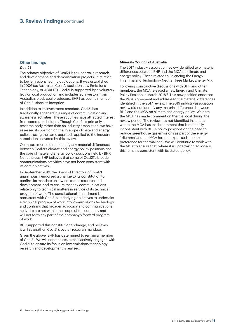#### **Other findings Coal21**

The primary objective of Coal21 is to undertake research and development, and demonstration projects, in relation to low-emissions technology options. It was established in 2006 (as Australian Coal Association Low Emissions Technology, or ACALET). Coal21 is supported by a voluntary levy on coal production and includes 26 investors from Australia's black coal producers. BHP has been a member of Coal21 since its inception.

In addition to its investment mandate, Coal21 has traditionally engaged in a range of communication and awareness activities. These activities have attracted interest from some stakeholders. Though Coal21 is primarily a research body rather than an industry association, we have assessed its position on the in-scope climate and energy policies using the same approach applied to the industry associations covered by this review.

Our assessment did not identify any material differences between Coal21's climate and energy policy positions and the core climate and energy policy positions held by BHP. Nonetheless, BHP believes that some of Coal21's broader communications activities have not been consistent with its core objectives.

In September 2019, the Board of Directors of Coal21 unanimously endorsed a change to its constitution to confirm its mandate on low-emissions research and development, and to ensure that any communications relate only to technical matters in service of its technical program of work. The constitutional amendment is consistent with Coal21's underlying objectives to undertake a technical program of work into low-emissions technology, and confirms that broader advocacy and communications activities are not within the scope of the company and will not form any part of the company's forward program of work.

BHP supported this constitutional change, and believes it will strengthen Coal21's overall research mandate.

Given the above, BHP has determined to remain a member of Coal21. We will nonetheless remain actively engaged with Coal21 to ensure its focus on low-emissions technology research and development is realised.

#### **Minerals Council of Australia**

The 2017 industry association review identified two material differences between BHP and the MCA on climate and energy policy. These related to Balancing the Energy Trilemma and Technology Neutral, Free Market Energy Mix.

Following constructive discussions with BHP and other members, the MCA released a new Energy and Climate Policy Position in March 2018<sup>15</sup>. This new position endorsed the Paris Agreement and addressed the material differences identified in the 2017 review. The 2019 industry association review did not identify any material differences between BHP and the MCA on climate and energy policy. We note the MCA has made comment on thermal coal during the review period. The review has not identified instances where the MCA has made comment that is materially inconsistent with BHP's policy positions on the need to reduce greenhouse gas emissions as part of the energy 'trilemma' and the MCA has not expressed a policy preference for thermal coal. We will continue to work with the MCA to ensure that, where it is undertaking advocacy, this remains consistent with its stated policy.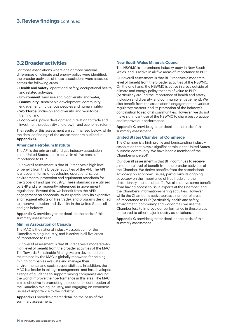#### **3.2 Broader activities**

For those associations where one or more material differences on climate and energy policy were identified, the broader activities of these associations were assessed across the following areas:

- **Health and Safety:** operational safety, occupational health and related activities;
- **Environment:** land use and biodiversity, and water;
- **Community:** sustainable development, community engagement, Indigenous peoples and human rights;
- **Workforce:** inclusion and diversity, and workforce training; and
- **Economics:** policy development in relation to trade and investment, productivity and growth, and economic reform.

The results of this assessment are summarised below, while the detailed findings of the assessment are outlined in **Appendix C.** 

#### **American Petroleum Institute**

The API is the primary oil and gas industry association in the United States, and is active in all five areas of importance to BHP.

Our overall assessment is that BHP receives a high level of benefit from the broader activities of the API. The API is a leader in terms of developing operational safety, environmental protection and equipment standards for the global oil and gas industry. These standards are utilised by BHP and are frequently referenced in government regulations. Beyond this, we benefit from the API's engagement on economic issues (particularly its expansive and frequent efforts on free trade), and programs designed to improve inclusion and diversity in the United States oil and gas industry.

**Appendix C** provides greater detail on the basis of this summary assessment.

#### **Mining Association of Canada**

The MAC is the national industry association for the Canadian mining industry, and is active in all five areas of importance to BHP.

Our overall assessment is that BHP receives a moderate-tohigh level of benefit from the broader activities of the MAC. The Towards Sustainable Mining system developed and maintained by the MAC is globally renowned for helping mining companies evaluate and manage their environmental and social responsibilities. In addition, the MAC is a leader in tailings management, and has developed a range of guidance to support mining companies around the world improve their performance in this area. The MAC is also effective in promoting the economic contribution of the Canadian mining industry, and engaging on economic issues of importance to the industry.

**Appendix C** provides greater detail on the basis of this summary assessment.

#### **New South Wales Minerals Council**

The NSWMC is a prominent industry body in New South Wales, and is active in all five areas of importance to BHP.

Our overall assessment is that BHP receives a moderate level of benefit from the broader activities of the NSWMC. On the one hand, the NSWMC is active in areas outside of climate and energy policy that are of value to BHP (particularly around the importance of health and safety, inclusion and diversity, and community engagement). We also benefit from the association's engagement on various regulatory matters, and its promotion of the industry's contribution to regional communities. However, we do not make significant use of the NSWMC to share best practice and improve our performance.

**Appendix C** provides greater detail on the basis of this summary assessment.

#### **United States Chamber of Commerce**

The Chamber is a high profile and longstanding industry association that plays a significant role in the United States business community. We have been a member of the Chamber since 2011.

Our overall assessment is that BHP continues to receive a moderate level of benefit from the broader activities of the Chamber. We derive benefits from the association's advocacy on economic issues, particularly its ongoing advocacy on the importance of free trade and the distortionary impacts of tariffs. We also derive some benefit from having access to issue experts at the Chamber, and the Chamber's information-sharing activities. However, while the Chamber is active across a number of areas of importance to BHP (particularly health and safety, environment, community and workforce), we use the Chamber less to improve our performance in these areas compared to other major industry associations.

**Appendix C** provides greater detail on the basis of this summary assessment.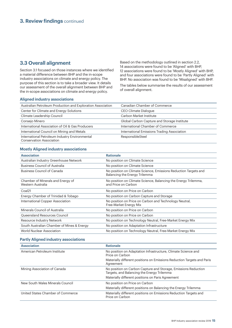#### **3.3 Overall alignment**

Section 3.1 focused on those instances where we identified a material difference between BHP and the in-scope industry associations on climate and energy policy. The purpose of this section is to take a broader view. It details our assessment of the overall alignment between BHP and the in-scope associations on climate and energy policy.

Based on the methodology outlined in section 2.2, 14 associations were found to be 'Aligned' with BHP, 12 associations were found to be 'Mostly Aligned' with BHP, and four associations were found to be 'Partly Aligned' with BHP. No association was found to be 'Misaligned' with BHP.

The tables below summarise the results of our assessment of overall alignment.

#### **Aligned industry associations**

| Australian Petroleum Production and Exploration Association                       | Canadian Chamber of Commerce                |
|-----------------------------------------------------------------------------------|---------------------------------------------|
| Center for Climate and Energy Solutions                                           | CEO Climate Dialogue                        |
| Climate Leadership Council                                                        | Carbon Market Institute                     |
| Consejo Minero                                                                    | Global Carbon Capture and Storage Institute |
| International Association of Oil & Gas Producers                                  | International Chamber of Commerce           |
| International Council on Mining and Metals                                        | International Emissions Trading Association |
| International Petroleum Industry Environmental<br><b>Conservation Association</b> | ResponsibleSteel                            |

#### **Mostly Aligned industry associations**

| <b>Association</b>                                     | <b>Rationale</b>                                                                                 |
|--------------------------------------------------------|--------------------------------------------------------------------------------------------------|
| Australian Industry Greenhouse Network                 | No position on Climate Science                                                                   |
| <b>Business Council of Australia</b>                   | No position on Climate Science                                                                   |
| <b>Business Council of Canada</b>                      | No position on Climate Science, Emissions Reduction Targets and<br>Balancing the Energy Trilemma |
| Chamber of Minerals and Energy of<br>Western Australia | No position on Climate Science, Balancing the Energy Trilemma,<br>and Price on Carbon            |
| Coal <sub>21</sub>                                     | No position on Price on Carbon                                                                   |
| Energy Chamber of Trinidad & Tobago                    | No position on Carbon Capture and Storage                                                        |
| International Copper Association                       | No position on Price on Carbon and Technology Neutral,<br>Free-Market Energy Mix                 |
| Minerals Council of Australia                          | No position on Price on Carbon                                                                   |
| Queensland Resources Council                           | No position on Price on Carbon                                                                   |
| Resource Industry Network                              | No position on Technology Neutral, Free-Market Energy Mix                                        |
| South Australian Chamber of Mines & Energy             | No position on Adaptation Infrastructure                                                         |
| World Nuclear Association                              | No position on Technology Neutral, Free-Market Energy Mix                                        |
|                                                        |                                                                                                  |

#### **Partly Aligned industry associations**

| <b>Association</b>                | <b>Rationale</b>                                                                                             |
|-----------------------------------|--------------------------------------------------------------------------------------------------------------|
| American Petroleum Institute      | No position on Adaptation Infrastructure, Climate Science and<br>Price on Carbon                             |
|                                   | Materially different positions on Emissions Reduction Targets and Paris<br>Agreement                         |
| Mining Association of Canada      | No position on Carbon Capture and Storage, Emissions Reduction<br>Targets, and Balancing the Energy Trilemma |
|                                   | Materially different positions on Paris Agreement                                                            |
| New South Wales Minerals Council  | No position on Price on Carbon                                                                               |
|                                   | Materially different positions on Balancing the Energy Trilemma                                              |
| United States Chamber of Commerce | Materially different positions on Emissions Reduction Targets and<br>Price on Carbon                         |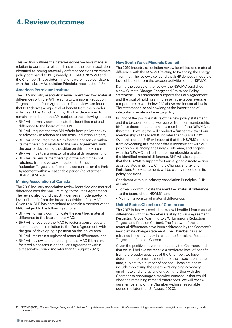# **4. Review outcomes**

This section outlines the determinations we have made in relation to our future relationships with the four associations identified as having materially different positions on climate policy compared to BHP, namely, API, MAC, NSWMC and the Chamber. These determinations were made consistent with the Industry Association Principles (see section 1.3).

#### **American Petroleum Institute**

The 2019 industry association review identified two material differences with the API (relating to Emissions Reduction Targets and the Paris Agreement). The review also found that BHP derives a high level of benefit from the broader activities of the API. Given this, BHP has determined to remain a member of the API, subject to the following actions:

- BHP will formally communicate the identified material difference to the board of the API;
- BHP will request that the API refrain from policy activity or advocacy in relation to Emissions Reduction Targets;
- BHP will encourage the API to foster a consensus within its membership in relation to the Paris Agreement, with the goal of developing a position on this policy area;
- BHP will maintain a register of material differences; and
- BHP will review its membership of the API if it has not refrained from advocacy in relation to Emissions Reduction Targets and fostered a consensus on the Paris Agreement within a reasonable period (no later than 31 August 2020).

#### **Mining Association of Canada**

The 2019 industry association review identified one material difference with the MAC (relating to the Paris Agreement). The review also found that BHP derives a moderate-to-high level of benefit from the broader activities of the MAC. Given this, BHP has determined to remain a member of the MAC, subject to the following actions:

- BHP will formally communicate the identified material difference to the board of the MAC;
- BHP will encourage the MAC to foster a consensus within its membership in relation to the Paris Agreement, with the goal of developing a position on this policy area;
- BHP will maintain a register of material differences; and
- BHP will review its membership of the MAC if it has not fostered a consensus on the Paris Agreement within a reasonable period (no later than 31 August 2020).

#### **New South Wales Minerals Council**

The 2019 industry association review identified one material difference with the NSWMC (relating to Balancing the Energy Trilemma). The review also found that BHP derives a moderate level of benefit from the broader activities of the NSWMC.

During the course of the review, the NSWMC published a new Climate Change, Energy and Emissions Policy statement<sup>16</sup>. This statement supports the Paris Agreement and the goal of holding an increase in the global average temperature to well below 2°C above pre-industrial levels. The statement also acknowledges the importance of integrated climate and energy policy.

In light of the positive nature of the new policy statement. and the broader benefits we receive from our membership, BHP has determined to remain a member of the NSWMC at this time. However, we will conduct a further review of our membership of the NSWMC no later than 30 April 2020. Over this period, BHP will request that the NSWMC refrain from advocating in a manner that is inconsistent with our position on Balancing the Energy Trilemma, and engage with the NSWMC and its broader membership to close the identified material difference. BHP will also expect that the NSWMC's support for Paris-aligned climate action, as articulated in its new Climate Change, Energy and Emissions Policy statement, will be clearly reflected in its policy positions.

Consistent with our Industry Association Principles, BHP will also:

- Formally communicate the identified material difference to the board of the NSWMC; and
- Maintain a register of material differences.

#### **United States Chamber of Commerce**

The 2017 industry association review identified four material differences with the Chamber (relating to Paris Agreement, Restricting Global Warming to 2°C, Emissions Reduction Targets, and Price on Carbon). The first two of these material differences have been addressed by the Chamber's new climate change statement. The Chamber has also refrained from advocacy in relation to Emissions Reduction Targets and Price on Carbon.

Given the positive movement made by the Chamber, and that we still believe we receive a moderate level of benefit from the broader activities of the Chamber, we have determined to remain a member of the association at the time, subject to a number of actions. These actions will include monitoring the Chamber's ongoing advocacy on climate and energy and engaging further with the Chamber to encourage a member consensus that would close the remaining material differences. We will review our membership of the Chamber within a reasonable period (no later than 31 August 2020).

<sup>16</sup> NSWMC (2019), 'Climate Change, Energy and Emissions Policy statement', available at: http://www.nswmining.com.au/environment/climate-change,-energy-andemissions.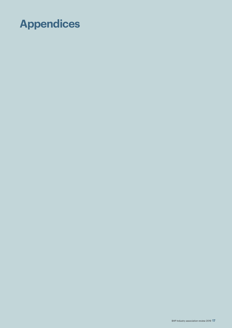# **Appendices**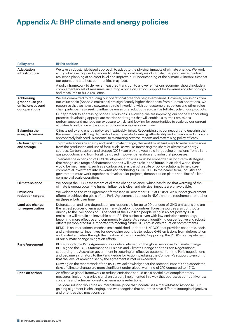# **Appendix A: BHP climate and energy policies**

| <b>Policy area</b>                                                        | <b>BHP's position</b>                                                                                                                                                                                                                                                                                                                                                                                                                                                                                                                                                                                              |
|---------------------------------------------------------------------------|--------------------------------------------------------------------------------------------------------------------------------------------------------------------------------------------------------------------------------------------------------------------------------------------------------------------------------------------------------------------------------------------------------------------------------------------------------------------------------------------------------------------------------------------------------------------------------------------------------------------|
|                                                                           |                                                                                                                                                                                                                                                                                                                                                                                                                                                                                                                                                                                                                    |
| <b>Adaptation</b><br><b>infrastructure</b>                                | We take a robust, risk-based approach to adapt to the physical impacts of climate change. We work<br>with globally recognised agencies to obtain regional analyses of climate change science to inform<br>resilience planning at an asset level and improve our understanding of the climate vulnerabilities that<br>our operations and host communities may face.                                                                                                                                                                                                                                                 |
|                                                                           | A policy framework to deliver a measured transition to a lower emissions economy should include a<br>complementary set of measures, including a price on carbon, support for low-emissions technology<br>and measures to build resilience.                                                                                                                                                                                                                                                                                                                                                                         |
| <b>Addressing</b><br>greenhouse gas<br>emissions beyond<br>our operations | We are committed to reducing our operational greenhouse gas emissions. However, emissions from<br>our value chain (Scope 3 emissions) are significantly higher than those from our own operations. We<br>recognise that we have a stewardship role in working with our customers, suppliers and other value<br>chain participants to seek to influence emissions reductions across the full life cycle of our products.                                                                                                                                                                                            |
|                                                                           | Our approach to addressing scope 3 emissions is evolving: we are improving our scope 3 accounting<br>process; developing appropriate metrics and targets that will enable us to track emissions<br>performance and manage our exposure to risk; and looking for opportunities to scale up our current<br>activities to influence emissions reductions across our value chain.                                                                                                                                                                                                                                      |
| <b>Balancing the</b><br>energy trilemma                                   | Climate policy and energy policy are inextricably linked. Recognising this connection, and ensuring that<br>the sometimes conflicting demands of energy reliability, energy affordability and emissions reduction are<br>appropriately balanced, is essential to minimising adverse impacts and maximising policy efficacy.                                                                                                                                                                                                                                                                                        |
| <b>Carbon capture</b><br>and storage                                      | To provide access to energy and limit climate change, the world must find ways to reduce emissions<br>from the production and use of fossil fuels, as well as increasing the share of alternative energy<br>sources. Carbon capture and storage (CCS) can play a pivotal role in reducing emissions from oil and<br>gas production, and from fossil fuels used in power generation and industrial processes.                                                                                                                                                                                                       |
|                                                                           | To enable the expansion of CCS development, policies must be embedded in long-term strategies<br>that recognise a range of abatement options will play a role in the future. In an ideal world, there<br>would be mechanisms, such as a carbon price as part of a suite of policy solutions, to help steer<br>commercial investment into low-emission technologies like CCS. In the nearer term, industry and<br>government must work together to develop pilot projects, demonstration plants and 'first of a kind'<br>commercial scale operations.                                                               |
| <b>Climate science</b>                                                    | We accept the IPCC assessment of climate change science, which has found that warming of the<br>climate is unequivocal, the human influence is clear and physical impacts are unavoidable.                                                                                                                                                                                                                                                                                                                                                                                                                         |
| <b>Emissions</b><br>reduction targets                                     | We welcomed the Paris Agreement formalised in December 2015 at COP21. We support government<br>efforts to achieve the goals of the Paris Agreement as set out in NDCs and the requirement to ratchet<br>up these efforts over time.                                                                                                                                                                                                                                                                                                                                                                                |
| Land use change<br>for sequestration                                      | Deforestation and land degradation are responsible for up to 20 per cent of GHG emissions and are<br>the largest sources of emissions in many developing countries. Forest resources also contribute<br>directly to the livelihoods of 90 per cent of the 1.2 billion people living in abject poverty. GHG<br>emissions will remain an inevitable part of BHP's business even with low-emissions technology<br>becoming more effective and commercially viable. As a result, identifying cost-effective and robust<br>offsets (carbon credits) is important to meeting future GHG emissions reduction commitments. |
|                                                                           | REDD+ is an international mechanism established under the UNFCCC that provides economic, social<br>and environmental incentives for developing countries to reduce GHG emissions from deforestation<br>and related activities through the creation of carbon credits. Supporting the REDD+ is a key element<br>of our climate change mitigation efforts.                                                                                                                                                                                                                                                           |
| <b>Paris Agreement</b>                                                    | BHP supports the Paris Agreement as a critical element of the global response to climate change.<br>BHP signed the 'CEO Statement on Business and Climate Change and the Paris Negotiations',<br>supporting the Australian government in securing an effective outcome from the Paris negotiations,<br>and became a signatory to the Paris Pledge for Action, pledging the Company's support to ensuring<br>that the level of ambition set by the agreement is met or exceeded.                                                                                                                                    |
|                                                                           | Drawing on the recent work of the IPCC, we acknowledge that the potential impacts and associated<br>risks of climate change are more significant under global warming of 2°C compared to 1.5°C.                                                                                                                                                                                                                                                                                                                                                                                                                    |
| Price on carbon                                                           | An effective global framework to reduce emissions should use a portfolio of complementary<br>measures, including a price signal on carbon, implemented in a way that addresses competitiveness<br>concerns and achieves lowest cost emissions reductions.                                                                                                                                                                                                                                                                                                                                                          |
|                                                                           | The ideal solution would be an international price that incentivises a market-based response. But<br>gaining alignment is challenging, and we recognise that countries have different strategic objectives<br>and priorities they must consider.                                                                                                                                                                                                                                                                                                                                                                   |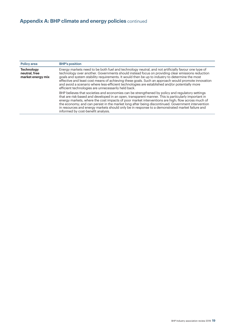| <b>Policy area</b>                                      | <b>BHP's position</b>                                                                                                                                                                                                                                                                                                                                                                                                                                                                                                                                                    |
|---------------------------------------------------------|--------------------------------------------------------------------------------------------------------------------------------------------------------------------------------------------------------------------------------------------------------------------------------------------------------------------------------------------------------------------------------------------------------------------------------------------------------------------------------------------------------------------------------------------------------------------------|
| <b>Technology</b><br>neutral, free<br>market energy mix | Energy markets need to be both fuel and technology neutral, and not artificially favour one type of<br>technology over another. Governments should instead focus on providing clear emissions reduction<br>goals and system stability requirements. It would then be up to industry to determine the most<br>effective and least cost means of achieving these goals. Such an approach would promote innovation<br>and avoid a scenario where less-efficient technologies are established and/or potentially more<br>efficient technologies are unnecessarily held back. |
|                                                         | BHP believes that societies and economies can be strengthened by policy and regulatory settings<br>that are risk-based and developed in an open, transparent manner. This is particularly important in<br>energy markets, where the cost impacts of poor market interventions are high; flow across much of<br>the economy; and can persist in the market long after being discontinued. Government intervention<br>in resources and energy markets should only be in response to a demonstrated market failure and<br>informed by cost-benefit analysis.                |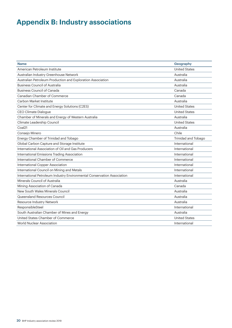# **Appendix B: Industry associations**

| <b>Name</b>                                                             | Geography            |
|-------------------------------------------------------------------------|----------------------|
| American Petroleum Institute                                            | <b>United States</b> |
| Australian Industry Greenhouse Network                                  | Australia            |
| Australian Petroleum Production and Exploration Association             | Australia            |
| <b>Business Council of Australia</b>                                    | Australia            |
| <b>Business Council of Canada</b>                                       | Canada               |
| Canadian Chamber of Commerce                                            | Canada               |
| Carbon Market Institute                                                 | Australia            |
| Center for Climate and Energy Solutions (C2ES)                          | <b>United States</b> |
| CEO Climate Dialogue                                                    | <b>United States</b> |
| Chamber of Minerals and Energy of Western Australia                     | Australia            |
| Climate Leadership Council                                              | <b>United States</b> |
| Coal <sub>21</sub>                                                      | Australia            |
| Consejo Minero                                                          | Chile                |
| Energy Chamber of Trinidad and Tobago                                   | Trinidad and Tobago  |
| Global Carbon Capture and Storage Institute                             | International        |
| International Association of Oil and Gas Producers                      | International        |
| International Emissions Trading Association                             | International        |
| International Chamber of Commerce                                       | International        |
| International Copper Association                                        | International        |
| International Council on Mining and Metals                              | International        |
| International Petroleum Industry Environmental Conservation Association | International        |
| Minerals Council of Australia                                           | Australia            |
| Mining Association of Canada                                            | Canada               |
| New South Wales Minerals Council                                        | Australia            |
| Queensland Resources Council                                            | Australia            |
| Resource Industry Network                                               | Australia            |
| ResponsibleSteel                                                        | International        |
| South Australian Chamber of Mines and Energy                            | Australia            |
| United States Chamber of Commerce                                       | <b>United States</b> |
| <b>World Nuclear Association</b>                                        | International        |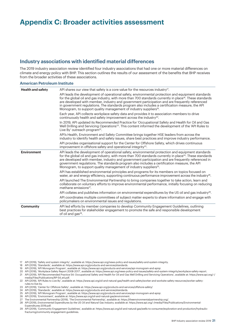### **Appendix C: Broader activities assessment**

#### **Industry associations with identified material differences**

The 2019 industry association review identified four industry associations that had one or more material differences on climate and energy policy with BHP. This section outlines the results of our assessment of the benefits that BHP receives from the broader activities of these associations.

#### **American Petroleum Institute**

| <b>Health and safety</b> | API shares our view that safety is a core value for the resources industry <sup>17</sup> .                                                                                                                                                                                                                                                                                                                                                                                                                      |
|--------------------------|-----------------------------------------------------------------------------------------------------------------------------------------------------------------------------------------------------------------------------------------------------------------------------------------------------------------------------------------------------------------------------------------------------------------------------------------------------------------------------------------------------------------|
|                          | API leads the development of operational safety, environmental protection and equipment standards<br>for the global oil and gas industry, with more than 700 standards currently in place <sup>18</sup> . These standards<br>are developed with member, industry and government participation and are frequently referenced<br>in government regulations. The standards program also includes a certification measure, the API<br>Monogram, to support quality management of industry suppliers <sup>19</sup> . |
|                          | Each year, API collects workplace safety data and provides it to association members to drive<br>continuously health and safety improvement across the industry <sup>20</sup> .                                                                                                                                                                                                                                                                                                                                 |
|                          | In 2019, API updated its Recommended Practice for 'Occupational Safety and Health for Oil and Gas<br>Well Drilling and Servicing Operations <sup>'21</sup> . This content informed the development of the 'API Rules to<br>Live By' outreach program <sup>22</sup> .                                                                                                                                                                                                                                            |
|                          | API's Health, Environment and Safety Committee brings together HSE leaders from across the<br>industry to identify health and safety issues, share best practices and improve industry performance.                                                                                                                                                                                                                                                                                                             |
|                          | API provides organisational support for the Center for Offshore Safety, which drives continuous<br>improvement in offshore safety and operational integrity <sup>23</sup> .                                                                                                                                                                                                                                                                                                                                     |
| <b>Environment</b>       | API leads the development of operational safety, environmental protection and equipment standards<br>for the global oil and gas industry, with more than 700 standards currently in place <sup>24</sup> . These standards<br>are developed with member, industry and government participation and are frequently referenced in<br>government regulations. The standards program also includes a certification measure, the API<br>Monogram, to support quality management of industry suppliers <sup>25</sup> . |
|                          | API has established environmental principles and programs for its members on topics focused on<br>water, air and energy efficiency, supporting continuous performance improvement across the industry <sup>26</sup> .                                                                                                                                                                                                                                                                                           |
|                          | API launched The Environmental Partnership to bring companies together to take action, learn and<br>collaborate on voluntary efforts to improve environmental performance, initially focusing on reducing<br>methane emissions <sup>27</sup> .                                                                                                                                                                                                                                                                  |
|                          | API collates and publishes information on environmental expenditures by the US oil and gas industry <sup>28</sup> .                                                                                                                                                                                                                                                                                                                                                                                             |
|                          | API coordinates multiple committees of subject matter experts to share information and engage with<br>policymakers on environmental issues and regulations.                                                                                                                                                                                                                                                                                                                                                     |
| <b>Community</b>         | API led efforts by member companies to develop Community Engagement Guidelines, outlining<br>best practices for stakeholder engagement to promote the safe and responsible development<br>of oil and gas <sup>29</sup> .                                                                                                                                                                                                                                                                                        |

- 17 API (2019), 'Safety and system integrity', available at: https://www.api.org/news-policy-and-issues/safety-and-system-integrity.
- 18 API (2019), 'Standards', available at: https://www.api.org/products-and-services/standards.
- 19 API (2019), 'API Monogram Program', available at: https://www.api.org/products-and-services/api-monogram-and-apiqr.
- 20 API (2018), 'Workplace Safety Report 2008-2017', available at: https://www.api.org/news-policy-and-issues/safety-and-system-integrity/workplace-safety-report.
- 21 API (2019), 'API Recommended Practice 54: Occupational Safety and Health for Oil and Gas Well Drilling and Servicing Operations', available at: https://www.api.org/-/ media/Files/Publications/RP-54\_e4.pdf.
- 22 API (2019), 'API Rules to Live By', available at: https://www.api.org/oil-and-natural-gas/health-and-safety/worker-and-worksite-safety-resources/worker-safetyrules-to-live-by.
- 23 API (2019), 'Center for Offshore Safety', available at: https://www.api.org/products-and-services/offshore-safety/
- 24 API (2019), 'Standards', available at: https://www.api.org/products-and-services/standards.
- 25 API (2019), 'API Monogram Program', available at: https://www.api.org/products-and-services/api-monogram-and-apiqr.
- 26 API (2019), 'Environment', available at: https://www.api.org/oil-and-natural-gas/environment.
- 27 The Environmental Partnership (2019), 'The Environmental Partnership', available at: https://theenvironmentalpartnership.org/. 28 API (2019), *Environmental Expenditures by the US Oil and Natural Gas Industry,* available at: https://www.api.org/~/media/Files/Publications/Environmental-
- Expenditures-2019.pdf. 29 API (2019), 'Community Engagement Guidelines', available at: https://www.api.org/oil-and-natural-gas/wells-to-consumer/exploration-and-production/hydraulicfracturing/community-engagement-guidelines.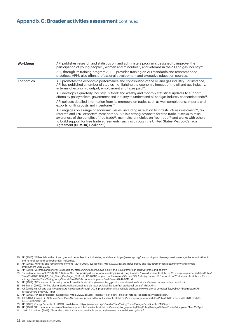#### **Appendix C: Broader activities assessment** continued

| Workforce        | API publishes research and statistics on, and administers programs designed to improve, the<br>participation of young people <sup>30</sup> , women and minorities <sup>31</sup> , and veterans in the oil and gas industry <sup>32</sup> .                                                                                                                                                                                                                                                                                            |
|------------------|---------------------------------------------------------------------------------------------------------------------------------------------------------------------------------------------------------------------------------------------------------------------------------------------------------------------------------------------------------------------------------------------------------------------------------------------------------------------------------------------------------------------------------------|
|                  | API, through its training program API-U, provides training on API standards and recommended<br>practices. API-U also offers professional development and executive education courses.                                                                                                                                                                                                                                                                                                                                                 |
| <b>Economics</b> | API promotes the economic performance and contribution of the oil and gas industry. For instance,<br>API has published a number of studies highlighting the economic impact of the oil and gas industry,<br>in terms of economic output, employment and taxes paid <sup>33</sup> .                                                                                                                                                                                                                                                    |
|                  | API develops a quarterly Industry Outlook and weekly and monthly statistical updates to support<br>efforts by policymakers, government and industry to understand oil and gas industry economic trends <sup>34</sup> .                                                                                                                                                                                                                                                                                                                |
|                  | API collects detailed information from its members on topics such as well completions, imports and<br>exports, drilling costs and inventories <sup>35</sup> .                                                                                                                                                                                                                                                                                                                                                                         |
|                  | API engages on a range of economic issues, including in relation to infrastructure investment <sup>36</sup> , tax<br>reform <sup>37</sup> and LNG exports <sup>38</sup> . Most notably, API is a strong advocate for free trade. It seeks to raise<br>awareness of the benefits of free trade <sup>39</sup> , maintains principles on free trade <sup>40</sup> , and works with others<br>to build support for free trade agreements (such as through the United States-Mexico-Canada<br>Agreement (USMCA) Coalition <sup>41</sup> ). |

- 30 API (2018), 'Millennials in the oil and gas and petrochemical industries,' available at: https://www.api.org/news-policy-and-issues/american-jobs/millennials-in-the-oiland-natural-gas-and-petrochemical-industries.
- 31 API (2015), 'Minority and female employment 2015-2035', available at: https://www.api.org/news-policy-and-issues/american-jobs/minority-and-femaleemployment-2015-2035.
- 32 API (2017), 'Veterans and energy', available at: https://www.api.org/news-policy-and-issues/american-jobs/veterans-and-energy.
- 33 For instance, see: API (2018), Oil & Natural Gas: Supporting the economy, creating jobs, driving America forward, available at: https://www.api.org/~/media/Files/Policy/ Taxes/DM2018-086\_API\_Fair\_Share\_OnePager\_FIN3.pdf; API (2017), *Impacts of the Natural Gas and Oil Industry on the US Economic in 2015, available at: https://www.* api.org/~/media/Files/Policy/Jobs/Oil-and-Gas-2015-Economic-Impacts-Final-Cover-07-17-2017.pdf.
- 34 API (2019), 'API's economic industry outlook', available at: https://www.api.org/products-and-services/statistics/apis-economic-industry-outlook.
- 35 IHS Markit (2019), 'API Petroleum Statistical Data', available at: https://global.ihs.com/api\_statistical\_data.cfm?rid=API1. 36 ICF (2017), *US Oil and Gas Infrastructure Investment through 2035,* prepared for API, available at: https://www.api.org/~/media/Files/Policy/Infrastructure/API-
- Infrastructure-Study-2017.pdf
- 37 API (2018), 'API tax principles' available at: https://www.api.org/~/media/Files/Policy/Taxes/tax-reform/Tax-Reform-Principles.pdf.
- 38 ICF (2017), *Impact of LNG Exports on the US Economy*, prepared for API, available at: https://www.api.org/~/media/Files/Policy/LNG-Exports/API-LNG-Update-Report-20171003.pdf.
- 39 API (2019), *Energy Benefits of USMCA,* available at: https://www.api.org/~/media/Files/Policy/Trade/Energy-Benefits-of-USMCA.pdf.
- 40 API (2017), 'API member companies' free trade principles', available at: https://www.api.org/~/media/Files/Policy/Trade/API-Free-Trade-Principles-18Mar2017.pdf.
- 41 USMCA Coalition (2019), 'About the USMCA Coalition', available at: https://www.usmcacoalition.org/about/.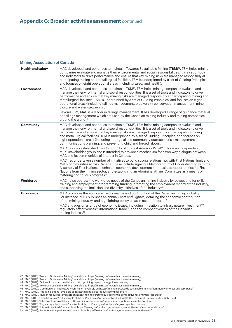#### **Mining Association of Canada**

| <b>Health and safety</b> | MAC developed, and continues to maintain, Towards Sustainable Mining $(TSM)^{42}$ . TSM helps mining<br>companies evaluate and manage their environmental and social responsibilities. It is a set of tools<br>and indicators to drive performance and ensure that key mining risks are managed responsibly at<br>participating mining and metallurgical facilities. TSM is underpinned by a set of Guiding Principles,<br>and focuses on eight operational areas (including safety and health).                                                                                                                                                               |
|--------------------------|----------------------------------------------------------------------------------------------------------------------------------------------------------------------------------------------------------------------------------------------------------------------------------------------------------------------------------------------------------------------------------------------------------------------------------------------------------------------------------------------------------------------------------------------------------------------------------------------------------------------------------------------------------------|
| <b>Environment</b>       | MAC developed, and continues to maintain, TSM <sup>43</sup> . TSM helps mining companies evaluate and<br>manage their environmental and social responsibilities. It is a set of tools and indicators to drive<br>performance and ensure that key mining risks are managed responsibly at participating mining and<br>metallurgical facilities. TSM is underpinned by a set of Guiding Principles, and focuses on eight<br>operational areas (including tailings management, biodiversity conservation management, mine<br>closure and water stewardship).<br>Beyond TSM, MAC is a leader in tailings management. It has developed a range of guidance material |
|                          | on tailings management which are used by the Canadian mining industry and mining companies<br>around the world <sup>44</sup> .                                                                                                                                                                                                                                                                                                                                                                                                                                                                                                                                 |
| <b>Community</b>         | MAC developed, and continues to maintain, TSM <sup>45</sup> . TSM helps mining companies evaluate and<br>manage their environmental and social responsibilities. It is a set of tools and indicators to drive<br>performance and ensure that key mining risks are managed responsibly at participating mining<br>and metallurgical facilities. TSM is underpinned by a set of Guiding Principles, and focuses on<br>eight operational areas (including aboriginal and community outreach, crisis management and<br>communications planning, and preventing child and forced labour).                                                                           |
|                          | MAC has also established the Community of Interest Advisory Panel <sup>46</sup> . This is an independent,<br>multi-stakeholder group and is intended to provide a mechanism for a two-way dialogue between<br>MAC and its communities of interest in Canada.                                                                                                                                                                                                                                                                                                                                                                                                   |
|                          | MAC has undertaken a number of initiatives to build strong relationships with First Nations, Inuit and<br>Métis communities across Canada. These include signing a Memorandum of Understanding with the<br>Assembly of First Nations to enhance economic development and business opportunities for First<br>Nations from the mining sector, and establishing an Aboriginal Affairs Committee as a means of<br>fostering continuous progress <sup>47</sup> .                                                                                                                                                                                                   |
| Workforce                | MAC helps address the workforce needs of the Canadian mining industry by advocating for skills<br>training and employment programming funding, promoting the employment record of the industry,<br>and supporting the inclusion and diversity initiatives of the industry <sup>48</sup> .                                                                                                                                                                                                                                                                                                                                                                      |
| <b>Economics</b>         | MAC promotes the economic performance and contribution of the Canadian mining industry.<br>For instance, MAC publishes an annual Facts and Figures, detailing the economic contribution<br>of the mining industry, and highlighting policy areas in need of reform <sup>49</sup> .                                                                                                                                                                                                                                                                                                                                                                             |
|                          | MAC engages on a range of economic issues, including in relation to infrastructure investment <sup>50</sup> ,<br>requilatory effectiveness <sup>51</sup> , international trade <sup>52</sup> , and the competitiveness of the Canadian<br>mining industry <sup>53</sup> .                                                                                                                                                                                                                                                                                                                                                                                      |

- 43 MAC (2019), 'Towards Sustainable Mining', available at: https://mining.ca/towards-sustainable-mining/.
- 44 MAC (2019), 'Guides & manuals', available at: https://mining.ca/resources/guides-manuals/.

- 46 MAC (2019), 'Community of Interest Advisory Panel', available at: https://mining.ca/towards-sustainable-mining/community-interest-advisory-panel/.
- 47 MAC (2019), 'Aboriginal affairs', available at: https://mining.ca/our-focus/aboriginal-affairs/.
- 48 MAC (2019), 'Human resources', available at: https://mining.ca/our-focus/economic-competitiveness/human-resources/.
- 49 MAC (2019), Facts & Figures 2018, available at: https://mining.ca/wp-content/uploads/2019/03/Facts-and-Figures-English-Web\_0.pdf.
- 50 MAC (2019), 'Infrastructure', available at: https://mining.ca/our-focus/economic-competitiveness/infrastructure/.

51 MAC (2019), 'Regulatory effectiveness', available at: https://mining.ca/our-focus/regulatory-effectiveness/.

52 MAC (2019), 'International trade', available at: https://mining.ca/our-focus/economic-competitiveness/international-trade/.

53 MAC (2019), 'Economic competitiveness', available at: https://mining.ca/our-focus/economic-competitiveness/.

<sup>42</sup> MAC (2019), 'Towards Sustainable Mining', available at: https://mining.ca/towards-sustainable-mining/.

<sup>45</sup> MAC (2019), 'Towards Sustainable Mining', available at: https://mining.ca/towards-sustainable-mining/.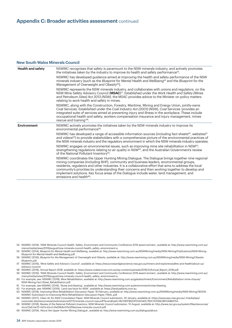#### **New South Wales Minerals Council**

| <b>Health and safety</b> | NSWMC recognises that safety is paramount to the NSW minerals industry, and actively promotes<br>the initiatives taken by the industry to improve its health and safety performance <sup>54</sup> .                                                                                                                                                                                                                                                                                                                                          |
|--------------------------|----------------------------------------------------------------------------------------------------------------------------------------------------------------------------------------------------------------------------------------------------------------------------------------------------------------------------------------------------------------------------------------------------------------------------------------------------------------------------------------------------------------------------------------------|
|                          | NSWMC has developed guidance aimed at improving the health and safety performance of the NSW<br>minerals industry (such as the Blueprint for Mental Health and Wellbeing <sup>55</sup> and the Blueprint for the<br>Management of Overweight and Obesity <sup>56</sup> ).                                                                                                                                                                                                                                                                    |
|                          | NSWMC represents the NSW minerals industry, and collaborates with unions and regulators, on the<br>NSW Mine Safety Advisory Council (MSAC) <sup>57</sup> . Established under the Work Health and Safety (Mines<br>and Petroleum Sites) Act 2013 (NSW), the MSAC provides advice to the Minister on policy matters<br>relating to work health and safety in mines.                                                                                                                                                                            |
|                          | NSWMC, along with the Construction, Forestry, Maritime, Mining and Energy Union, jointly-owns<br>Coal Services. Established under the Coal Industry Act (2001) (NSW), Coal Services 'provides an<br>integrated suite of services aimed at preventing injury and illness in the workplace. These include<br>occupational health and safety, workers compensation insurance and injury management, mines<br>rescue and training <sup>'58</sup> .                                                                                               |
| <b>Environment</b>       | NSWMC actively promotes the initiatives taken by the NSW minerals industry to improve its<br>environmental performance <sup>59</sup> .                                                                                                                                                                                                                                                                                                                                                                                                       |
|                          | NSWMC has developed a range of accessible information sources (including fact sheets <sup>60</sup> , websites <sup>61</sup><br>and videos <sup>62</sup> ) to provide stakeholders with a comprehensive picture of the environmental practices of<br>the NSW minerals industry and the regulatory environment in which the NSW minerals industry operates.                                                                                                                                                                                    |
|                          | NSWMC engages on environmental issues, such as improving mine site rehabilitation in NSW <sup>63</sup> ,<br>strengthening regulations relating to air quality in NSW <sup>64</sup> , and the Australian Government's review<br>of the National Pollutant Inventory <sup>65</sup> .                                                                                                                                                                                                                                                           |
|                          | NSWMC coordinates the Upper Hunting Mining Dialogue. The Dialogue brings together nine regional<br>mining companies (including BHP), community and business leaders, environmental groups,<br>residents, regulators and other industries. It is a collaborative effort that aims to address the local<br>community's priorities by understanding their concerns and then working together to develop and<br>implement solutions. Key focus areas of the Dialogue include water, land management, and<br>emissions and health <sup>66</sup> . |

- 54 NSWMC (2019), 'NSW Minerals Council Health, Safety, Environment and Community Conference 2019 award winners', available at: http://www.nswmining.com.au/ menu/media/news/2019/august/nsw-minerals-council-health,-safety,-environment-a.
- 55 NSWMC (2014), *Blueprint for Mental Health and Wellbeing,* available at: http://www.nswmining.com.au/NSWMining/media/NSW-Mining/Publications/NSW-Mining-Blueprint-for-Mental-Health-and-Wellbeing.pdf.
- 56 NSWMC (2016), *Blueprint for the Management of Overweight and Obesity,* available at: http://www.nswmining.com.au/NSWMining/media/NSW-Mining/Obesity-Blueprint.pdf.
- 57 NSWMC (2019), 'Mine Safety and Advisory Council', available at: https://resourcesandgeoscience.nsw.gov.au/miners-and-explorers/safety-and-health/about-us/ advisory-council.
- 58 NSWMC (2018), *Annual Report 2018,* available at: https://www.coalservices.com.au/wp-content/uploads/2018/12/Annual\_Report\_2018.pdf.

59 NSWMC (2019), 'NSW Minerals Council Health, Safety, Environment and Community Conference 2019 award winners', available at: http://www.nswmining.com.au/ menu/media/news/2019/august/nsw-minerals-council-health,-safety,-environment-a.

60 For example, see: NSWMC (2018), *Mine Rehabilitation,* available at: http://www.nswmining.com.au/getattachment/Environment/Rehabilitation-mine-closure/ NSW-Mining-Fact-Sheet\_Rehabilitation.pdf.

- 61 For example, see NSWMC (2019), 'Noise and blasting', available at: http://www.nswmining.com.au/environment/noise-blasting.
- 62 For example, see: NSWMC (2019), 'Land use facts for NSW', available at: https://landusefacts.com.au.

63 NSWMC (2018), *Improving Mine Rehabilitation Discussion Paper,* 16 February, available at: http://www.nswmining.com.au/NSWMining/media/NSW-Mining/180216- NSWMC-Submission-to-Improving-Mine-Rehabilitation-Discussion-Paper\_FINAL.pdf.

64 NSWMC (2017), *Clean Air for NSW Consultation Paper: NSW Minerals Council submission,* 20 January, available at: https://www.epa.nsw.gov.au/-/media/epa/

corporate-site/resources/air/submissions2017/minerals-council-nsw.pdf?la=en&hash=18C0B1FB623FD3A042C783C15706E0BF0A882F5A.

65 NSWMC (2018), *Review of the National Pollutant Inventory: NSW Minerals Council submission,* 10 August, available at: http://www.npi.gov.au/system/files/resources/ dcca72a5-be70-4d7a-b2cd-d1e59b6c07e3/files/nsw-minerals-council.pdf.

66 NSWMC (2019), 'About the Upper Hunter Mining Dialogue', available at: http://www.nswmining.com.au/dialogue/about.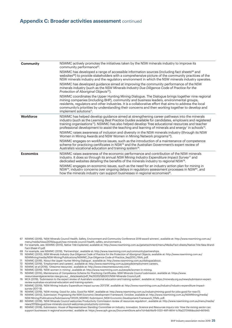| <b>Community</b> | NSWMC actively promotes the initiatives taken by the NSW minerals industry to improve its<br>community performance <sup>67</sup> .                                                                                                                                                                                                                                                                                                              |
|------------------|-------------------------------------------------------------------------------------------------------------------------------------------------------------------------------------------------------------------------------------------------------------------------------------------------------------------------------------------------------------------------------------------------------------------------------------------------|
|                  | NSWMC has developed a range of accessible information sources (including fact sheets <sup>68</sup> and<br>websites <sup>69</sup> ) to provide stakeholders with a comprehensive picture of the community practices of the<br>NSW minerals industry and the regulatory environment in which the NSW minerals industry operates.                                                                                                                  |
|                  | NSWMC has developed guidance aimed at improving the community performance of the NSW<br>minerals industry (such as the NSW Minerals Industry Due Diligence Code of Practice for the<br>Protection of Aboriginal Objects <sup>70</sup> ).                                                                                                                                                                                                        |
|                  | NSWMC coordinates the Upper Hunting Mining Dialogue. The Dialogue brings together nine regional<br>mining companies (including BHP), community and business leaders, environmental groups,<br>residents, regulators and other industries. It is a collaborative effort that aims to address the local<br>community's priorities by understanding their concerns and then working together to develop and<br>implement solutions <sup>71</sup> . |
| Workforce        | NSWMC has helped develop guidance aimed at strengthening career pathways into the minerals<br>industry (such as the Learning Best Practice Guides available for candidates, employers and registered<br>training organisations <sup>72</sup> ). NSWMC has also helped develop 'free educational resources and teacher<br>professional development to assist the teaching and learning of minerals and energy' in schools <sup>73</sup> .        |
|                  | NSWMC raises awareness of inclusion and diversity in the NSW minerals industry (through its NSW<br>Women in Mining Awards and NSW Women in Mining Network programs <sup>74</sup> ).                                                                                                                                                                                                                                                             |
|                  | NSWMC engages on workforce issues, such as the introduction of a maintenance of competence<br>scheme for practicing certificates in NSW <sup>75</sup> and the Australian Government's expert review of<br>Australia's vocational education and training system <sup>76</sup> .                                                                                                                                                                  |
| <b>Economics</b> | NSWMC raises awareness of the economic performance and contribution of the NSW minerals<br>industry. It does so through its annual NSW Mining Industry Expenditure Impact Survey <sup>77</sup> and<br>dedicated websites detailing the benefits of the minerals industry to regional NSW <sup>78</sup> .                                                                                                                                        |
|                  | NSWMC engages on economic issues, such as the need for an industry action plan for mining in<br>NSW <sup>79</sup> , industry concerns over ongoing delays in regulatory assessment processes in NSW <sup>80</sup> , and<br>how the minerals industry can support businesses in regional economies <sup>81</sup> .                                                                                                                               |

67 NSWMC (2019), 'NSW Minerals Council Health, Safety, Environment and Community Conference 2019 award winners', available at: http://www.nswmining.com.au/ menu/media/news/2019/august/nsw-minerals-council-health,-safety,-environment-a.

68 For example, see: NSWMC (2015), *Native Title Explained,* available at: http://www.nswmining.com.au/getattachment/menu/Media/Fact-sheets/Native-Title-New-Brand-Fact-Sheet-V1.pdf.

- 69 For example, see NSWMC (2019), 'Partnerships', available at: http://www.nswmining.com.au/community/partnerships.
- 70 NSWMC (2010), *NSW Minerals Industry Due Diligence Code of Practice for the Protection of Aboriginal Objects,* available at: http://www.nswmining.com.au/ NSWMining/media/NSW-Mining/Publications/NSWMC\_Due-Diligence-Code-of-Practice\_Sep2010\_FINAL.pdf.
- 71 NSWMC (2019), 'About the Upper Hunter Mining Dialogue', available at: http://www.nswmining.com.au/dialogue/about.
- 72 NSWMC (2019), 'Employment and careers', available at: http://www.nswmining.com.au/people/employment-careers.
- 73 NSWMC et al (2019), 'Oresome resources', available at: http://www.oresomeresources.com/.
- 74 NSWMC (2019), 'NSW women in mining', available at: http://www.nswmining.com.au/people/women-in-mining. 75 NSWMC (2016), *Maintenance of Competence Scheme for Practicing Certificates: NSW Minerals Council submission,* available at: https://www.
- resourcesandgeoscience.nsw.gov.au/\_\_data/assets/pdf\_file/0020/595001/NSW-Minerals-Council.pdf.
- 76 MCA (2019), 'Submission to the expert review of Australia's vocational education and training system', available at: https://minerals.org.au/news/submission-expertreview-australias-vocational-education-and-training-system.

77 NSWMC (2019), 'NSW Mining Industry Expenditure Impact survey 2017/18', available at: http://www.nswmining.com.au/industry/industry-expenditure-impactsurvey-2017-18.

- 78 NSWMC (2019), 'NSW mining: Good for Jobs. Good for NSW', available at: http://www.nswmining.com.au/industry/mining-good-for-jobs-good-for-nsw-(1).
- 79 NSWMC (2013), *Submission: Progressing the NSW Economic Development Framework,* October, available at: http://www.nswmining.com.au/NSWMining/media/ NSW-Mining/Publications/Submissions/131025\_NSWMC-Submission\_NSW-Economic-Development-Framework\_FINAL.pdf.
- 80 NSWMC (2019), 'NSW Minerals Council welcomes Productivity Commission review of resources regulation', available at: http://www.nswmining.com.au/menu/media/ news/2019/august/nsw-minerals-council-welcomes-productivity-commiss.
- 81 NSWMC (2018), *Submission: House of Representatives Standing Committee on Industry, Innovation, Science and Resources inquiry into 'How the mining sector can support businesses in regional economies',* available at: https://www.aph.gov.au/DocumentStore.ashx?id=9ab16a19-5120-46f1-8614-1c76a2273166&subId=661943.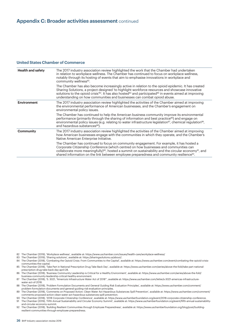#### **United States Chamber of Commerce**

| <b>Health and safety</b> | The 2017 industry association review highlighted the work that the Chamber had undertaken<br>in relation to workplace wellness. The Chamber has continued to focus on workplace wellness,<br>notably through its hosting of events that aim to emphasise innovations in workplace and<br>community wellness <sup>82</sup> .                                                                                                       |
|--------------------------|-----------------------------------------------------------------------------------------------------------------------------------------------------------------------------------------------------------------------------------------------------------------------------------------------------------------------------------------------------------------------------------------------------------------------------------|
|                          | The Chamber has also become increasingly active in relation to the opioid epidemic. It has created<br>Sharing Solutions, a project designed 'to highlight workforce resources and showcase innovative<br>solutions to the opioid crisis <sup>783</sup> . It has also hosted <sup>84</sup> and participated <sup>85</sup> in events aimed at improving<br>understanding on how communities and businesses can combat opioid abuse. |
| <b>Environment</b>       | The 2017 industry association review highlighted the activities of the Chamber aimed at improving<br>the environmental performance of American businesses, and the Chamber's engagement on<br>environmental policy issues.                                                                                                                                                                                                        |
|                          | The Chamber has continued to help the American business community improve its environmental<br>performance (primarily through the sharing of information and best practice <sup>86</sup> ) and engage on<br>environmental policy issues (e.g. relating to water infrastructure legislation <sup>87</sup> , chemical regulation <sup>88</sup> ,<br>and hazardous substances <sup>89</sup> ).                                       |
| <b>Community</b>         | The 2017 industry association review highlighted the activities of the Chamber aimed at improving<br>how American businesses engage with the communities in which they operate, and the Chamber's<br>Native American Enterprise Initiative.                                                                                                                                                                                       |
|                          | The Chamber has continued to focus on community engagement. For example, it has hosted a<br>Corporate Citizenship Conference (which centred on how businesses and communities can<br>collaborate more meaningfully) <sup>90</sup> , hosted a summit on sustainability and the circular economy <sup>91</sup> , and<br>shared information on the link between employee preparedness and community resilience <sup>92</sup> .       |

- 82 The Chamber (2019), 'Workplace wellness', available at: https://www.uschamber.com/issues/health-care/workplace-wellness/
- 83 The Chamber (2019), 'Sharing solutions', available at: https://sharingsolutions.us/about/.
- 84 The Chamber (2018), 'Combating the Opioid Crisis: From Communities to the Capital', available at: https://www.uschamber.com/event/combating-the-opioid-crisiscommunities-the-capital.
- 85 The Chamber (2018), 'Take Part in National Prescription Drug Take Back Day', available at: https://www.uschamber.com/series/above-the-fold/take-part-nationalprescription-drug-take-back-day-april-28.
- 86 The Chamber (2018), 'Business Community Leadership is Critical for a Healthy Environment', available at: https://www.uschamber.com/series/above-the-fold/ business-community-leadership-critical-healthy-environment.
- 87 The Chamber (2018), 'S. 3021, "America's Infrastructure Water Act of 2018"', available at: https://www.uschamber.com/letter/s-3021-americas-infrastructurewater-act-of-2018.
- 88 The Chamber (2018), 'Problem Formulation Documents and General Guiding Risk Evaluation Principles', available at: https://www.uschamber.com/comment/ problem-formulation-documents-and-general-guiding-risk-evaluation-principles.
- 89 The Chamber (2018), 'Comments on Proposed Action: Clean Water Act Hazardous Substances Spill Prevention', available at: https://www.uschamber.com/comment/ comments-proposed-action-clean-water-act-hazardous-substances-spill-prevention.
- 90 The Chamber (2018), '2018 Corporate Citizenship Conference', available at: https://www.uschamberfoundation.org/event/2018-corporate-citizenship-conference. 91 The Chamber (2019), 'Fifth Annual Sustainability and Circular Economy Summit', available at: https://www.uschamberfoundation.org/event/fifth-annual-sustainability-
- and-circular-economy-summit. 92 The Chamber (2018), 'Building Resilient Communities through Employee Preparedness', available at: https://www.uschamberfoundation.org/blog/post/buildingresilient-communities-through-employee-preparedness.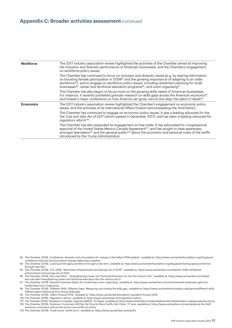#### **Appendix C: Broader activities assessment** continued

| <b>Workforce</b><br>on workforce policy issues.<br>on boosting female participation in STEM <sup>93</sup> and the growing importance of adapting to an older<br>workforce <sup>94</sup> ), and to engage on workforce policy issues, including retirement planning for small<br>businesses <sup>95</sup> , career and technical education programs <sup>96</sup> , and union organising <sup>97</sup> .<br>The Chamber has also begun to focus more on the growing skills needs of American businesses.<br>and hosted a major conference on how America can grow, recruit and align the talent it needs <sup>99</sup> .<br><b>Economics</b><br>issues, and the activities of its International Affairs Division (encompassing the 'AmChams').<br>regulatory reform <sup>100</sup> .<br>approval of the United States-Mexico-Canada Agreement <sup>101</sup> , and has sought to raise awareness |                                                                                                                                                                                                                               |
|-------------------------------------------------------------------------------------------------------------------------------------------------------------------------------------------------------------------------------------------------------------------------------------------------------------------------------------------------------------------------------------------------------------------------------------------------------------------------------------------------------------------------------------------------------------------------------------------------------------------------------------------------------------------------------------------------------------------------------------------------------------------------------------------------------------------------------------------------------------------------------------------------|-------------------------------------------------------------------------------------------------------------------------------------------------------------------------------------------------------------------------------|
|                                                                                                                                                                                                                                                                                                                                                                                                                                                                                                                                                                                                                                                                                                                                                                                                                                                                                                 | The 2017 industry association review highlighted the activities of the Chamber aimed at improving<br>the inclusion and diversity performance of American businesses, and the Chamber's engagement                             |
|                                                                                                                                                                                                                                                                                                                                                                                                                                                                                                                                                                                                                                                                                                                                                                                                                                                                                                 | The Chamber has continued to focus on inclusion and diversity issues (e.g. by sharing information                                                                                                                             |
|                                                                                                                                                                                                                                                                                                                                                                                                                                                                                                                                                                                                                                                                                                                                                                                                                                                                                                 | For instance, it recently published granular research on skills gaps across the American economy <sup>98</sup> ,                                                                                                              |
|                                                                                                                                                                                                                                                                                                                                                                                                                                                                                                                                                                                                                                                                                                                                                                                                                                                                                                 | The 2017 industry association review highlighted the Chamber's engagement on economic policy                                                                                                                                  |
|                                                                                                                                                                                                                                                                                                                                                                                                                                                                                                                                                                                                                                                                                                                                                                                                                                                                                                 | The Chamber has continued to engage on economic policy issues. It was a leading advocate for the<br>Tax Cuts and Jobs Act of 2017 (which passed in December 2017), and has been a leading advocate for                        |
| introduced by the Trump Administration.                                                                                                                                                                                                                                                                                                                                                                                                                                                                                                                                                                                                                                                                                                                                                                                                                                                         | The Chamber has also expanded its engagement on free trade. It has advocated for congressional<br>amongst lawmakers <sup>102</sup> and the general public <sup>103</sup> about the economic and personal costs of the tariffs |

- 93 The Chamber (2018), 'Confidence, diversity, and a foundation for change in the Dallas STEM pipeline', available at: https://www.uschamberfoundation.org/blog/post/ confidence-diversity-and-foundation-change-dallas-stem-pipeline .
- 94 The Chamber (2018), 'Looking at the aging workforce through a new lens', available at: https://www.uschamberfoundation.org/blog/post/looking-aging-workforcethrough-new-lens.
- 95 The Chamber (2018), 'H.R. 3359, "Retirement Enhancement and Savings Act of 2018"', available at: https://www.uschamber.com/letter/hr-3359-retirementenhancement-and-savings-act-of-2018.
- 96 The Chamber (2018), 'Key Vote Alert! "Strengthening Career and Technical Education for the 21st Century Act"', available at: https://www.uschamber.com/letter/ key-vote-alert-strengthening-career-and-technical-education-the-21st-century-act-0.
- 97 The Chamber (2018), 'Revised Employee Rights Act modernizes union organizing', available at: https://www.uschamber.com/article/revised-employee-rights-actmodernizes-union-organizing.
- 98 The Chamber (2018), 'Different Skills, Different Gaps: Measuring and closing the skills gap', available at: https://www.uschamberfoundation.org/reports/different-skillsdifferent-gaps-measuring-and-closing-skills-gap.
- 99 The Chamber (2018), 'Talent Forward 2018', available at: https://www.uschamberfoundation.org/talent-forward-2018.
- 100 The Chamber (2019), 'Regulatory reform', available at: https://www.uschamber.com/regulatory-reform.

101 The Chamber (2019), 'Business to congress: Approve USMCA', 12 August, available at: https://www.uschamber.com/series/above-the-fold/business-congress-approve-usmca. 102 The Chamber (2019), 'American Consumers Will Pay the Price for More Tariffs, Not China', 27 June, available at: https://www.uschamber.com/series/above-the-fold/

- american-consumers-will-pay-the-price-more-tariffs-not-china.
- 103 The Chamber (2019), 'Trade works. Tariffs Don't', available at: https://www.uschamber.com/tariffs.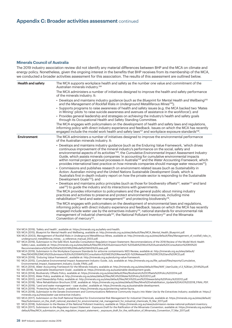#### **Minerals Council of Australia**

The 2019 industry association review did not identify any material differences between BHP and the MCA on climate and energy policy. Nonetheless, given the ongoing interest in the benefits that BHP receives from its membership of the MCA, we conducted a broader activities assessment for this association. The results of this assessment are outlined below.

| <b>Health and safety</b> | The MCA supports workplace health and safety as the number one value and commitment of the<br>Australian minerals industry. <sup>104</sup>                                                                                                                                                                                                                                                                                                                                                                                                                                                                                                                                                                                                                                                                                                                                                                                                                                                         |
|--------------------------|----------------------------------------------------------------------------------------------------------------------------------------------------------------------------------------------------------------------------------------------------------------------------------------------------------------------------------------------------------------------------------------------------------------------------------------------------------------------------------------------------------------------------------------------------------------------------------------------------------------------------------------------------------------------------------------------------------------------------------------------------------------------------------------------------------------------------------------------------------------------------------------------------------------------------------------------------------------------------------------------------|
|                          | The MCA administers a number of initiatives designed to improve the health and safety performance<br>of the minerals industry. It:                                                                                                                                                                                                                                                                                                                                                                                                                                                                                                                                                                                                                                                                                                                                                                                                                                                                 |
|                          | • Develops and maintains industry guidance (such as the Blueprint for Mental Health and Wellbeing <sup>105</sup><br>and the Management of Rockfall Risks in Underground Metalliferous Mines <sup>106</sup> );                                                                                                                                                                                                                                                                                                                                                                                                                                                                                                                                                                                                                                                                                                                                                                                      |
|                          | • Supports programs to raise awareness of health and safety issues (e.g. the MCA backed two 'Mates<br>in Mining' pilots 'to raise suicide awareness and avenues of assistance in the workforce'); and                                                                                                                                                                                                                                                                                                                                                                                                                                                                                                                                                                                                                                                                                                                                                                                              |
|                          | • Provides general leadership and strategies on achieving the industry's health and safety goals<br>through its Occupational Health and Safety Standing Committee.                                                                                                                                                                                                                                                                                                                                                                                                                                                                                                                                                                                                                                                                                                                                                                                                                                 |
|                          | The MCA engages with policymakers on the development of health and safety laws and regulations,<br>informing policy with direct industry experience and feedback. Issues on which the MCA has recently<br>engaged include the model work health and safety laws <sup>107</sup> and workplace exposure standards <sup>108</sup> .                                                                                                                                                                                                                                                                                                                                                                                                                                                                                                                                                                                                                                                                   |
| <b>Environment</b>       | The MCA administers a number of initiatives designed to improve the environmental performance<br>of the Australian minerals industry. It:                                                                                                                                                                                                                                                                                                                                                                                                                                                                                                                                                                                                                                                                                                                                                                                                                                                          |
|                          | • Develops and maintains industry guidance (such as the Enduring Value Framework, 'which drives<br>continuous improvement of the mineral industry's performance on the social, safety and<br>environmental aspects of its activities <sup>109</sup> , the Cumulative Environmental Impact Assessment Industry<br>Guide, which assists minerals companies 'in accounting for cumulative environmental impacts<br>within normal project approval processes in Australia <sup>110</sup> and the Water Accounting Framework, which<br>provides international best practice on how minerals companies should manage water resources <sup>111</sup> );<br>• Commissions and publishes research on environment-related issues (such as Sustainability in<br>Action: Australian mining and the United Nations Sustainable Development Goals, which is<br>Australia's first in-depth industry report on how the private sector is responding to the Sustainable<br>Development Goals <sup>'112</sup> ); and |
|                          | • Develops and maintains policy principles (such as those for biodiversity offsets <sup>113</sup> , water <sup>114</sup> and land<br>use <sup>115</sup> ) to quide the industry and its interactions with governments.                                                                                                                                                                                                                                                                                                                                                                                                                                                                                                                                                                                                                                                                                                                                                                             |
|                          | The MCA provides information to policymakers and the general public about mining industry<br>practices and activities to preserve and protect environmental resources, including mine<br>rehabilitation <sup>116</sup> land and water management <sup>117</sup> and protecting biodiversity <sup>118</sup> .                                                                                                                                                                                                                                                                                                                                                                                                                                                                                                                                                                                                                                                                                       |
|                          | The MCA engages with policymakers on the development of environmental laws and regulations,<br>informing policy with direct industry experience and feedback. Issues on which the MCA has recently<br>engaged include water use by the extractives industry <sup>119</sup> , national standards for environmental risk<br>management of industrial chemicals <sup>120</sup> , the National Pollutant Inventory <sup>121</sup> and the Minamata<br>Convention of mercury <sup>122</sup> .                                                                                                                                                                                                                                                                                                                                                                                                                                                                                                           |

104 MCA (2019), 'Safety and health', available at: https://minerals.org.au/safety-and-health.

105 MCA (2015), Blueprint for Mental Health and Wellbeing, available at: http://minerals.org.au/sites/default/files/MCA\_Mental\_Health\_Blueprint.pdf. 106 MCA (2003), Management of Rockfall Risks in Underground Metalliferous Mines, available at: http://minerals.org.au/sites/default/files/Management\_of\_rockfall\_risks\_in\_

underground\_metalliferous\_mines\_-\_a\_reference\_manual\_2003.pdf. 107 MCA (2019), Submission to the Safe Work Australia Consultation Regulation Impact Statement: Recommendations of the 2018 Review of the Model Work Health Safety Laws, available at: https://minerals.org.au/sites/default/files/MCA%20Submission%20-%20Safe%20Work%20Australia%20Consultation%20RIS%20 Recommendations%20of%20the%202018%20Model%20WHS%20Laws.pdf.

108 MCA (2019), Submission to the Workplace Exposure Standards for airborne contaminants WES Review, available at: http://minerals.org.au/sites/default/ files/190429%20MCA%20Submission%20to%20SWA%20Consultation%20WES%20Review%20-%20Release%201%20RCS%20and%20RCD.pdf.

109 MCA (2019), 'Enduring Value Framework', available at: http://minerals.org.au/enduring-value-framework.

110 MCA (2015), Cumulative Environmental Impact Assessment Industry Guide, July, available at: http://minerals.org.au/file\_upload/files/reports/Cumulative\_ Environmental Impact Assessment Industry Guide FINAL.pdf.

111 MCA (2014), *Water Accounting Framework for the Minerals Industry,* available at: http://minerals.org.au/sites/default/files/WAF\_UserGuide\_v1.3\_%28Jan\_2014%29.pdf. 112 MA (2018), 'Sustainable Development Goals', available at: https://minerals.org.au/sustainable-development-goals.

113 MCA (2014), Biodiversity Offsets Policy, available at: https://minerals.org.au/sites/default/files/Biodiversity%20Offsets%20Policy%202014.pdf.

114 MCA (2012), *Water Policy,* available at: http://minerals.org.au/sites/default/files/MCA%20Water%20Policy%202012.pdf.

115 MCA (2012), *Land Stewardship Policy,* available at: http://minerals.org.au/sites/default/files/MCA%20Land%20Stewardship%20Policy%202012.pdf.

116 MCA (2018), 'Mine Rehabilitation Brochure 2018', available at: https://minerals.org.au/sites/default/files/Mine%20rehabilitation\_Update%20AUG%202018\_FINAL.PDF. 117 MCA (2019), 'Land and water management – case studies', available at: https://minerals.org.au/sustainable-development.

118 MCA (2019), 'Protecting Native Fauna', available at: https://minerals.org.au/protecting-native-fauna.

119 MCA (2018), *Submission to the Senate Environment and Communications Reference Community Inquiry into Water Use by the Extractives Industry,* available at: https:// minerals.org.au/news/water-use-extractive-industry.

120 MCA (2017), *Submission on the Draft National Standard for Environmental Risk Management for Industrial Chemicals,* available at: https://minerals.org.au/sites/default/ files/Submission\_on\_the\_draft\_national\_standard\_for\_environmental\_risk\_management\_for\_industrial\_chemicals\_15\_Mar\_2017.pdf.

121 MCA (2018), *Submission to the Review of the National Pollutant Inventory,* available at: https://minerals.org.au/news/submission-review-national-pollutant-inventory.

122 MCA (2017), *Submission to the Regulation Impact Statement - Exposure Draft for the Ratification of the Minamata Convention,* available at: https://minerals.org.au/sites/ default/files/MCA\_submission\_on\_the\_regulation\_impact\_statement\_-\_exposure\_draft\_for\_the\_ratification\_of\_Minamata\_Convention\_17\_Mar\_2017.pdf.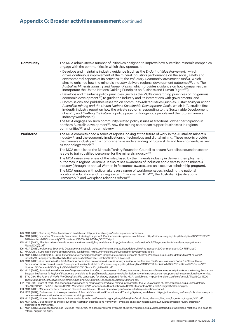#### **Appendix C: Broader activities assessment** continued

| <b>Community</b> | The MCA administers a number of initiatives designed to improve how Australian minerals companies<br>engage with the communities in which they operate. It:                                                                                                                                                                                                                                                                                                                                                                                                                                                                                                                                                                                                                                                                                                                                                                                                                                                                                                                                                                                                                                                                                                                                                     |
|------------------|-----------------------------------------------------------------------------------------------------------------------------------------------------------------------------------------------------------------------------------------------------------------------------------------------------------------------------------------------------------------------------------------------------------------------------------------------------------------------------------------------------------------------------------------------------------------------------------------------------------------------------------------------------------------------------------------------------------------------------------------------------------------------------------------------------------------------------------------------------------------------------------------------------------------------------------------------------------------------------------------------------------------------------------------------------------------------------------------------------------------------------------------------------------------------------------------------------------------------------------------------------------------------------------------------------------------|
|                  | • Develops and maintains industry guidance (such as the Enduring Value Framework, 'which<br>drives continuous improvement of the mineral industry's performance on the social, safety and<br>environmental aspects of its activities <sup>123</sup> , the Voluntary Community Investment Toolkit, which<br>aims to enhance how the minerals industry delivers regional development outcomes <sup>124</sup> , and The<br>Australian Minerals Industry and Human Rights, which provides guidance on how companies can<br>incorporate the United Nations Guiding Principles on Business and Human Rights <sup>125</sup> );<br>• Develops and maintains policy principles (such as the MCA's overarching principles of Indigenous<br>economic development <sup>126</sup> ) to guide the industry and its interactions with governments; and<br>• Commissions and publishes research on community-related issues (such as Sustainability in Action:<br>Australian mining and the United Nations Sustainable Development Goals, which is 'Australia's first<br>in-depth industry report on how the private sector is responding to the Sustainable Development<br>Goals <sup>127</sup> ; and Crafting the Future, a policy paper on Indigenous people and the future minerals<br>industry workforce <sup>128</sup> ). |
|                  | The MCA engages on such community-related policy issues as traditional owner participation in<br>northern Australia development <sup>129</sup> , how the mining sector can support businesses in regional<br>communities <sup>130</sup> , and modern slavery.                                                                                                                                                                                                                                                                                                                                                                                                                                                                                                                                                                                                                                                                                                                                                                                                                                                                                                                                                                                                                                                   |
| <b>Workforce</b> | The MCA commissioned a series of reports looking at the future of work in the Australian minerals<br>industry <sup>131</sup> , and the economic implications of technology and digital mining. These reports provide<br>the minerals industry with a comprehensive understanding of future skills and training needs, as well<br>as technology trends <sup>132</sup> .                                                                                                                                                                                                                                                                                                                                                                                                                                                                                                                                                                                                                                                                                                                                                                                                                                                                                                                                          |
|                  | The MCA established the Minerals Tertiary Education Council to ensure Australia's education sector<br>is able to train qualified personnel for the minerals industry <sup>133</sup> .                                                                                                                                                                                                                                                                                                                                                                                                                                                                                                                                                                                                                                                                                                                                                                                                                                                                                                                                                                                                                                                                                                                           |
|                  | The MCA raises awareness of the role played by the minerals industry in delivering employment<br>outcomes in regional Australia. It also raises awareness of inclusion and diversity in the minerals<br>industry (through its annual Women in Resources awards, and an executive scholarship program).                                                                                                                                                                                                                                                                                                                                                                                                                                                                                                                                                                                                                                                                                                                                                                                                                                                                                                                                                                                                          |
|                  | The MCA engages with policymakers on a range of workforce issues, including the national<br>vocational education and training system <sup>34</sup> , women in STEM $135$ , the Australian Qualifications<br>Framework <sup>136</sup> and workplace relations reform <sup>137</sup> .                                                                                                                                                                                                                                                                                                                                                                                                                                                                                                                                                                                                                                                                                                                                                                                                                                                                                                                                                                                                                            |

- 124 MCA (2014), *Voluntary Community Investment: A strategic approach that incorporates gender,* available at: http://minerals.org.au/sites/default/files/14%202152%20 %20Voluntary%20Community%20Investment%20Toolkit%20Aug%202014.pdf.
- 125 MCA (2010), *The Australian Minerals Industry and Human Rights,* available at: http://minerals.org.au/sites/default/files/Australian-Minerals-Industry-Human-Rights%20(2).pdf.
- 126 MCA (2016), *Indigenous Economic Development,* available at: https://minerals.org.au/sites/default/files/Indigenous%20Communique\_MCA\_FINAL.pdf.
- 127 MA (2018), 'Sustainable Development Goals', available at: https://minerals.org.au/sustainable-development-goals. 128 MCA (2017), *Crafting the Future: Minerals industry engagement with Indigenous Australia,* available at: https://minerals.org.au/sites/default/files/Minerals%20

industry%20engagement%20with%20Indigenous%20Australia\_October%202017\_FINAL.pdf. 129 MCA (2019), *Submission to the Joint Standing Committee on Northern Australia Inquiry into Opportunities and Challenges Associated with Traditional Owner* 

Participation in Northern Australia Development, available at: https://minerals.org.au/sites/default/files/MCA%20Submission%20-%20Traditional%20Owner%20 Northern%20Australia%20inquiry%20-%2018%20%20Mar%20..\_%20WEB.pdf.

130 MCA (2018), *Submission to the House of Representatives Standing Committee on Industry, Innovation, Science and Resources Inquiry into How the Mining Sector can Support Businesses in Regional Economies,* available at: https://minerals.org.au/news/submission-how-mining-sector-can-support-businesses-regional-economies. 131 EY (2019), *The Future of Work: The Changing Skills Landscape for Miners*, prepared for the MCA, available at: http://minerals.org.au/sites/default/files/190214%20

The%20Future%20of%20Work%20the%20Changing%20Skills%20Landscape%20for%20Miners.pdf.

132 EY (2019), *Future of Work: The economic implications of technology and digital mining,* prepared for the MCA, available at: http://minerals.org.au/sites/default/ files/190214%20The%20Future%20of%20Work%20The%20economic%20implications%20of%20technology%20and%20digital%20mining.pdf. 133 MCA (2019), 'Minerals Tertiary Education Council', available at: https://minerals.org.au/minerals-tertiary-education-council.

134 MCA (2019), 'Submission to the expert review of Australia's Vocational Education and Training System', available at: https://minerals.org.au/news/submission-expertreview-australias-vocational-education-and-training-system.

135 MCA (2019), *Women in Stem Decadal Plan,* available at: https://minerals.org.au/sites/default/files/Workplace\_relations\_The\_case\_for\_reform\_August\_2017.pdf. 136 MCA (2019), 'Submission to the review of the Australian qualifications framework', available at: https://minerals.org.au/news/submission-review-australian-

qualifications-framework. 137 MCA (2017), *Australia's Workplace Relations Framework: The case for reform,* available at: https://minerals.org.au/sites/default/files/Workplace\_relations\_The\_case\_for\_ reform\_August\_2017.pdf.

<sup>123</sup> MCA (2019), 'Enduring Value Framework', available at: http://minerals.org.au/enduring-value-framework.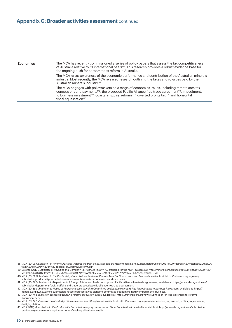#### **Appendix C: Broader activities assessment** continued

| <b>Economics</b> | The MCA has recently commissioned a series of policy papers that assess the tax competitiveness<br>of Australia relative to its international peers <sup>138</sup> . This research provides a robust evidence base for<br>the ongoing push for corporate tax reform in Australia.                                                                                                                          |
|------------------|------------------------------------------------------------------------------------------------------------------------------------------------------------------------------------------------------------------------------------------------------------------------------------------------------------------------------------------------------------------------------------------------------------|
|                  | The MCA raises awareness of the economic performance and contribution of the Australian minerals<br>industry. Most recently, the MCA released research outlining the taxes and royalties paid by the<br>Australian minerals industry <sup>139</sup> .                                                                                                                                                      |
|                  | The MCA engages with policymakers on a range of economics issues, including remote area tax<br>concessions and payments <sup>140</sup> , the proposed Pacific Alliance free trade agreement <sup>141</sup> , impediments<br>to business investment <sup>142</sup> , coastal shipping reforms <sup>143</sup> , diverted profits tax <sup>144</sup> , and horizontal<br>fiscal equalisation <sup>145</sup> . |
|                  |                                                                                                                                                                                                                                                                                                                                                                                                            |

<sup>138</sup> MCA (2019), *Corporate Tax Reform: Australia watches the train go by,* available at: http://minerals.org.au/sites/default/files/190318%20Australia%20watches%20the%20 train%20go%20by%20on%20corporate%20tax%20reform.pdf.

<sup>139</sup> Deloitte (2019), *Estimates of Royalties and Company Tax Accrued in 2017-18,* prepared for the MCA, available at: http://minerals.org.au/sites/default/files/DAE%20-%20 MCA%20-%202017-18%20Royalties%20and%20Co%20Tax%20Estimates%20Final%2026%20March%202019%20T....pdf.

<sup>140</sup> MCA (2019), *Submission to the Productivity Commission's Review of Remote Area Tax Concessions and Payments,* available at: https://minerals.org.au/news/ submission-productivity-commissions-review-remote-area-tax-concessions-and-payments.

<sup>141</sup> MCA (2018), Submission to Department of Foreign Affairs and Trade on proposed Pacific Alliance free trade agreement, available at: https://minerals.org.au/news/ submission-department-foreign-affairs-and-trade-proposed-pacific-alliance-free-trade-agreement.

<sup>142</sup> MCA (2018), *Submission to House of Representatives Standing Committee on Economics Inquiry into impediments to business investment,* available at: https:// minerals.org.au/news/mca-submission-house-representatives-standing-committee-economics-inquiry-impediments-business.

<sup>143</sup> MCA (2017), *Submission on coastal shipping reforms discussion paper,* available at: https://minerals.org.au/news/submission\_on\_coastal\_shipping\_reforms\_ discussion\_paper.

<sup>144</sup> MCA (2017), *Submission on diverted profits tax exposure draft legislation,* available at: http://minerals.org.au/news/submission\_on\_diverted\_profits\_tax\_exposure\_ draft\_legislation

<sup>145</sup> MCA 9017), *Submission to the Productivity Commission Inquiry on Horizontal Fiscal Equalisation in Australia,* available at: http://minerals.org.au/news/submissionproductivity-commission-inquiry-horizontal-fiscal-equalisation-australia.